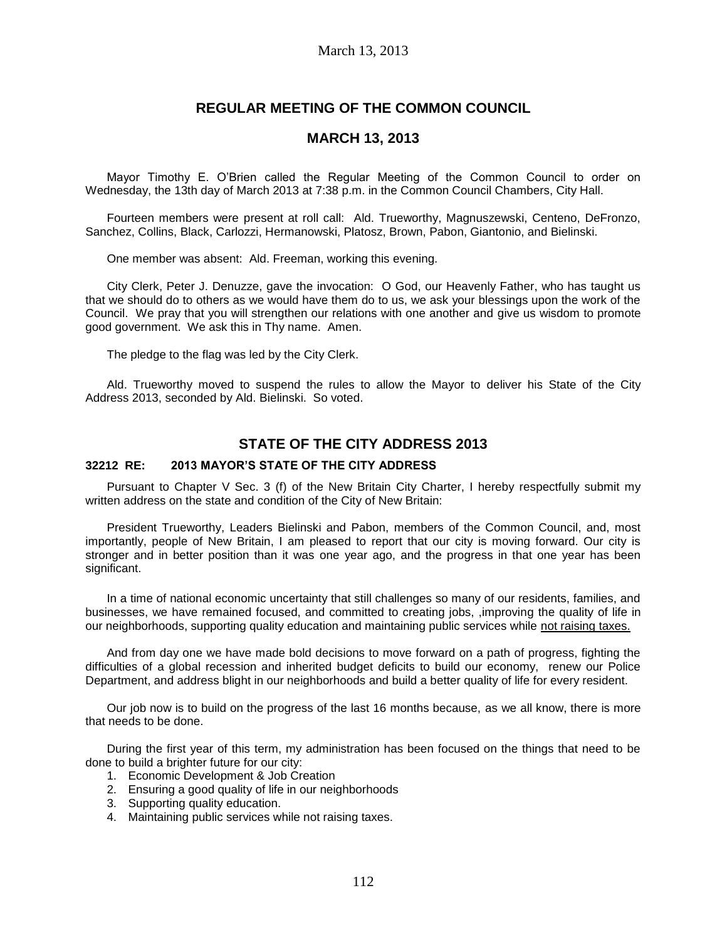# **REGULAR MEETING OF THE COMMON COUNCIL**

### **MARCH 13, 2013**

Mayor Timothy E. O'Brien called the Regular Meeting of the Common Council to order on Wednesday, the 13th day of March 2013 at 7:38 p.m. in the Common Council Chambers, City Hall.

Fourteen members were present at roll call: Ald. Trueworthy, Magnuszewski, Centeno, DeFronzo, Sanchez, Collins, Black, Carlozzi, Hermanowski, Platosz, Brown, Pabon, Giantonio, and Bielinski.

One member was absent: Ald. Freeman, working this evening.

City Clerk, Peter J. Denuzze, gave the invocation: O God, our Heavenly Father, who has taught us that we should do to others as we would have them do to us, we ask your blessings upon the work of the Council. We pray that you will strengthen our relations with one another and give us wisdom to promote good government. We ask this in Thy name. Amen.

The pledge to the flag was led by the City Clerk.

Ald. Trueworthy moved to suspend the rules to allow the Mayor to deliver his State of the City Address 2013, seconded by Ald. Bielinski. So voted.

## **STATE OF THE CITY ADDRESS 2013**

### **32212 RE: 2013 MAYOR'S STATE OF THE CITY ADDRESS**

Pursuant to Chapter V Sec. 3 (f) of the New Britain City Charter, I hereby respectfully submit my written address on the state and condition of the City of New Britain:

President Trueworthy, Leaders Bielinski and Pabon, members of the Common Council, and, most importantly, people of New Britain, I am pleased to report that our city is moving forward. Our city is stronger and in better position than it was one year ago, and the progress in that one year has been significant.

In a time of national economic uncertainty that still challenges so many of our residents, families, and businesses, we have remained focused, and committed to creating jobs, ,improving the quality of life in our neighborhoods, supporting quality education and maintaining public services while not raising taxes.

And from day one we have made bold decisions to move forward on a path of progress, fighting the difficulties of a global recession and inherited budget deficits to build our economy, renew our Police Department, and address blight in our neighborhoods and build a better quality of life for every resident.

Our job now is to build on the progress of the last 16 months because, as we all know, there is more that needs to be done.

During the first year of this term, my administration has been focused on the things that need to be done to build a brighter future for our city:

- 1. Economic Development & Job Creation
- 2. Ensuring a good quality of life in our neighborhoods
- 3. Supporting quality education.
- 4. Maintaining public services while not raising taxes.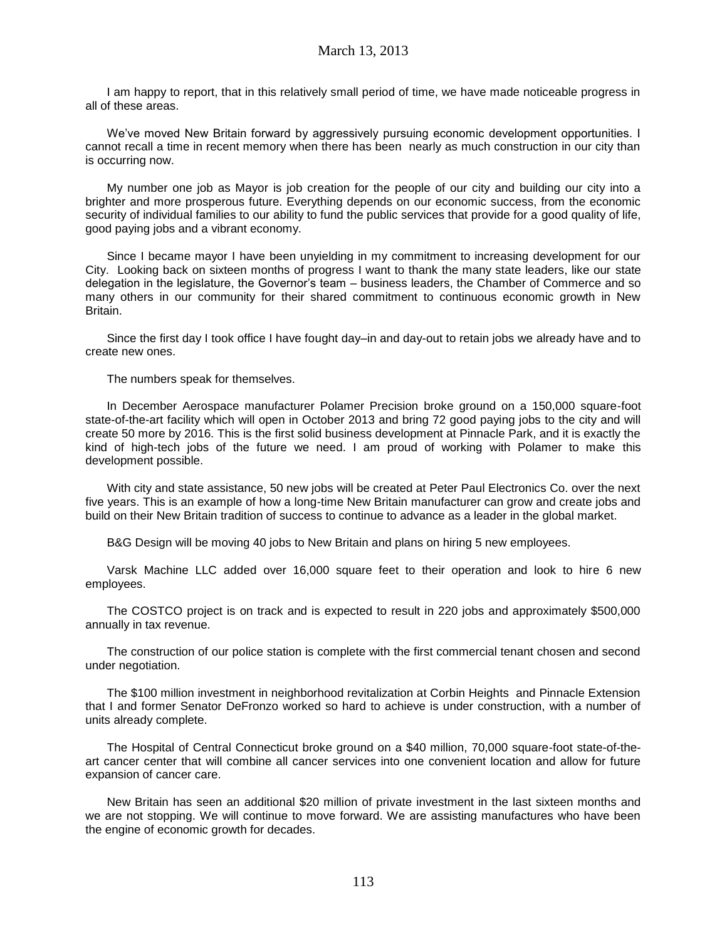I am happy to report, that in this relatively small period of time, we have made noticeable progress in all of these areas.

We've moved New Britain forward by aggressively pursuing economic development opportunities. I cannot recall a time in recent memory when there has been nearly as much construction in our city than is occurring now.

My number one job as Mayor is job creation for the people of our city and building our city into a brighter and more prosperous future. Everything depends on our economic success, from the economic security of individual families to our ability to fund the public services that provide for a good quality of life, good paying jobs and a vibrant economy.

Since I became mayor I have been unyielding in my commitment to increasing development for our City. Looking back on sixteen months of progress I want to thank the many state leaders, like our state delegation in the legislature, the Governor's team – business leaders, the Chamber of Commerce and so many others in our community for their shared commitment to continuous economic growth in New Britain.

Since the first day I took office I have fought day–in and day-out to retain jobs we already have and to create new ones.

The numbers speak for themselves.

In December Aerospace manufacturer Polamer Precision broke ground on a 150,000 square-foot state-of-the-art facility which will open in October 2013 and bring 72 good paying jobs to the city and will create 50 more by 2016. This is the first solid business development at Pinnacle Park, and it is exactly the kind of high-tech jobs of the future we need. I am proud of working with Polamer to make this development possible.

With city and state assistance, 50 new jobs will be created at Peter Paul Electronics Co. over the next five years. This is an example of how a long-time New Britain manufacturer can grow and create jobs and build on their New Britain tradition of success to continue to advance as a leader in the global market.

B&G Design will be moving 40 jobs to New Britain and plans on hiring 5 new employees.

Varsk Machine LLC added over 16,000 square feet to their operation and look to hire 6 new employees.

The COSTCO project is on track and is expected to result in 220 jobs and approximately \$500,000 annually in tax revenue.

The construction of our police station is complete with the first commercial tenant chosen and second under negotiation.

The \$100 million investment in neighborhood revitalization at Corbin Heights and Pinnacle Extension that I and former Senator DeFronzo worked so hard to achieve is under construction, with a number of units already complete.

The Hospital of Central Connecticut broke ground on a \$40 million, 70,000 square-foot state-of-theart cancer center that will combine all cancer services into one convenient location and allow for future expansion of cancer care.

New Britain has seen an additional \$20 million of private investment in the last sixteen months and we are not stopping. We will continue to move forward. We are assisting manufactures who have been the engine of economic growth for decades.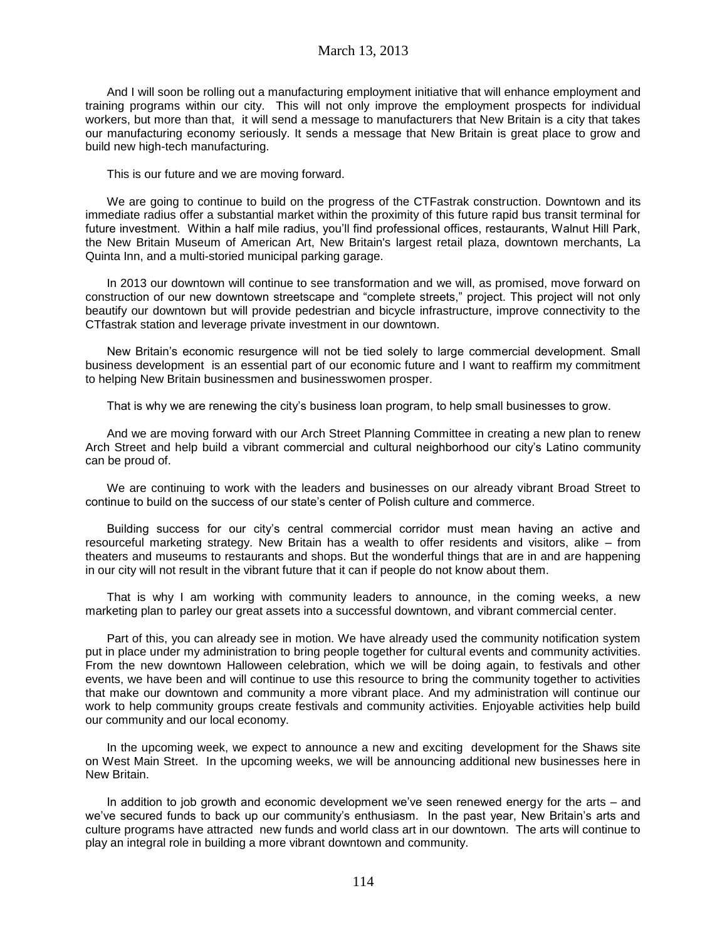And I will soon be rolling out a manufacturing employment initiative that will enhance employment and training programs within our city. This will not only improve the employment prospects for individual workers, but more than that, it will send a message to manufacturers that New Britain is a city that takes our manufacturing economy seriously. It sends a message that New Britain is great place to grow and build new high-tech manufacturing.

This is our future and we are moving forward.

We are going to continue to build on the progress of the CTFastrak construction. Downtown and its immediate radius offer a substantial market within the proximity of this future rapid bus transit terminal for future investment. Within a half mile radius, you'll find professional offices, restaurants, Walnut Hill Park, the New Britain Museum of American Art, New Britain's largest retail plaza, downtown merchants, La Quinta Inn, and a multi-storied municipal parking garage.

In 2013 our downtown will continue to see transformation and we will, as promised, move forward on construction of our new downtown streetscape and "complete streets," project. This project will not only beautify our downtown but will provide pedestrian and bicycle infrastructure, improve connectivity to the CTfastrak station and leverage private investment in our downtown.

New Britain's economic resurgence will not be tied solely to large commercial development. Small business development is an essential part of our economic future and I want to reaffirm my commitment to helping New Britain businessmen and businesswomen prosper.

That is why we are renewing the city's business loan program, to help small businesses to grow.

And we are moving forward with our Arch Street Planning Committee in creating a new plan to renew Arch Street and help build a vibrant commercial and cultural neighborhood our city's Latino community can be proud of.

We are continuing to work with the leaders and businesses on our already vibrant Broad Street to continue to build on the success of our state's center of Polish culture and commerce.

Building success for our city's central commercial corridor must mean having an active and resourceful marketing strategy. New Britain has a wealth to offer residents and visitors, alike – from theaters and museums to restaurants and shops. But the wonderful things that are in and are happening in our city will not result in the vibrant future that it can if people do not know about them.

That is why I am working with community leaders to announce, in the coming weeks, a new marketing plan to parley our great assets into a successful downtown, and vibrant commercial center.

Part of this, you can already see in motion. We have already used the community notification system put in place under my administration to bring people together for cultural events and community activities. From the new downtown Halloween celebration, which we will be doing again, to festivals and other events, we have been and will continue to use this resource to bring the community together to activities that make our downtown and community a more vibrant place. And my administration will continue our work to help community groups create festivals and community activities. Enjoyable activities help build our community and our local economy.

In the upcoming week, we expect to announce a new and exciting development for the Shaws site on West Main Street. In the upcoming weeks, we will be announcing additional new businesses here in New Britain.

In addition to job growth and economic development we've seen renewed energy for the arts – and we've secured funds to back up our community's enthusiasm. In the past year, New Britain's arts and culture programs have attracted new funds and world class art in our downtown. The arts will continue to play an integral role in building a more vibrant downtown and community.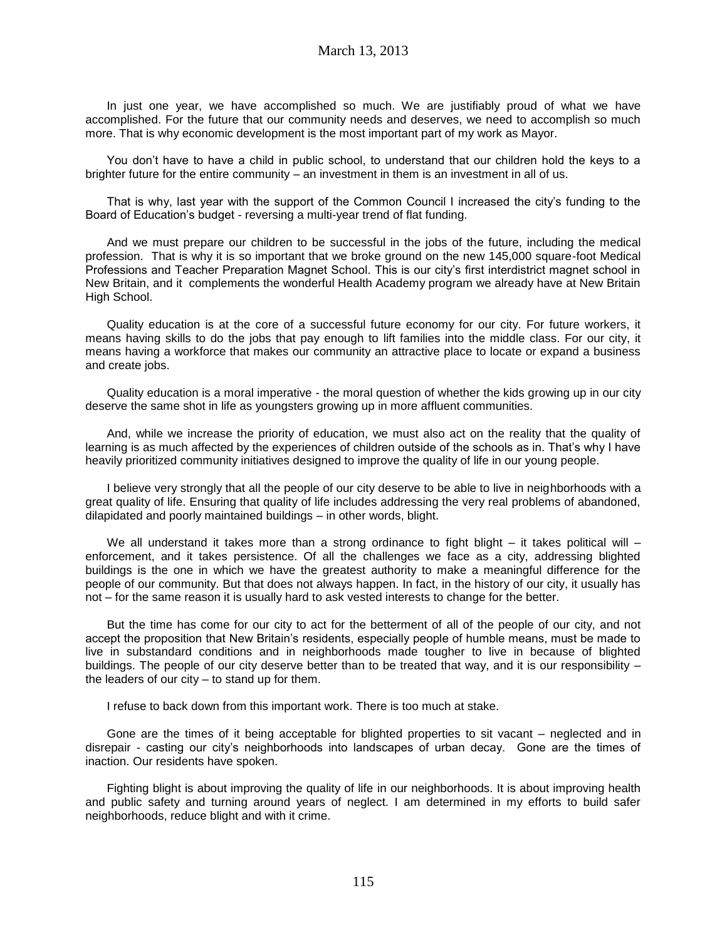In just one year, we have accomplished so much. We are justifiably proud of what we have accomplished. For the future that our community needs and deserves, we need to accomplish so much more. That is why economic development is the most important part of my work as Mayor.

You don't have to have a child in public school, to understand that our children hold the keys to a brighter future for the entire community – an investment in them is an investment in all of us.

That is why, last year with the support of the Common Council I increased the city's funding to the Board of Education's budget - reversing a multi-year trend of flat funding.

And we must prepare our children to be successful in the jobs of the future, including the medical profession. That is why it is so important that we broke ground on the new 145,000 square-foot Medical Professions and Teacher Preparation Magnet School. This is our city's first interdistrict magnet school in New Britain, and it complements the wonderful Health Academy program we already have at New Britain High School.

Quality education is at the core of a successful future economy for our city. For future workers, it means having skills to do the jobs that pay enough to lift families into the middle class. For our city, it means having a workforce that makes our community an attractive place to locate or expand a business and create jobs.

Quality education is a moral imperative - the moral question of whether the kids growing up in our city deserve the same shot in life as youngsters growing up in more affluent communities.

And, while we increase the priority of education, we must also act on the reality that the quality of learning is as much affected by the experiences of children outside of the schools as in. That's why I have heavily prioritized community initiatives designed to improve the quality of life in our young people.

I believe very strongly that all the people of our city deserve to be able to live in neighborhoods with a great quality of life. Ensuring that quality of life includes addressing the very real problems of abandoned, dilapidated and poorly maintained buildings – in other words, blight.

We all understand it takes more than a strong ordinance to fight blight  $-$  it takes political will  $$ enforcement, and it takes persistence. Of all the challenges we face as a city, addressing blighted buildings is the one in which we have the greatest authority to make a meaningful difference for the people of our community. But that does not always happen. In fact, in the history of our city, it usually has not – for the same reason it is usually hard to ask vested interests to change for the better.

But the time has come for our city to act for the betterment of all of the people of our city, and not accept the proposition that New Britain's residents, especially people of humble means, must be made to live in substandard conditions and in neighborhoods made tougher to live in because of blighted buildings. The people of our city deserve better than to be treated that way, and it is our responsibility – the leaders of our city – to stand up for them.

I refuse to back down from this important work. There is too much at stake.

Gone are the times of it being acceptable for blighted properties to sit vacant – neglected and in disrepair - casting our city's neighborhoods into landscapes of urban decay. Gone are the times of inaction. Our residents have spoken.

Fighting blight is about improving the quality of life in our neighborhoods. It is about improving health and public safety and turning around years of neglect. I am determined in my efforts to build safer neighborhoods, reduce blight and with it crime.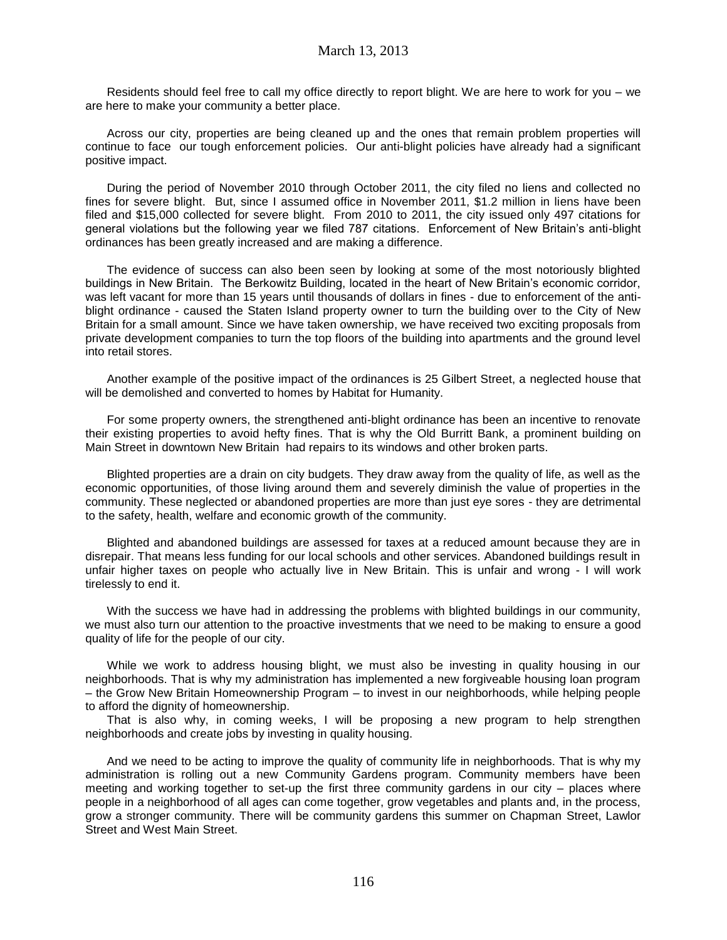Residents should feel free to call my office directly to report blight. We are here to work for you – we are here to make your community a better place.

Across our city, properties are being cleaned up and the ones that remain problem properties will continue to face our tough enforcement policies. Our anti-blight policies have already had a significant positive impact.

During the period of November 2010 through October 2011, the city filed no liens and collected no fines for severe blight. But, since I assumed office in November 2011, \$1.2 million in liens have been filed and \$15,000 collected for severe blight. From 2010 to 2011, the city issued only 497 citations for general violations but the following year we filed 787 citations. Enforcement of New Britain's anti-blight ordinances has been greatly increased and are making a difference.

The evidence of success can also been seen by looking at some of the most notoriously blighted buildings in New Britain. The Berkowitz Building, located in the heart of New Britain's economic corridor, was left vacant for more than 15 years until thousands of dollars in fines - due to enforcement of the antiblight ordinance - caused the Staten Island property owner to turn the building over to the City of New Britain for a small amount. Since we have taken ownership, we have received two exciting proposals from private development companies to turn the top floors of the building into apartments and the ground level into retail stores.

Another example of the positive impact of the ordinances is 25 Gilbert Street, a neglected house that will be demolished and converted to homes by Habitat for Humanity.

For some property owners, the strengthened anti-blight ordinance has been an incentive to renovate their existing properties to avoid hefty fines. That is why the Old Burritt Bank, a prominent building on Main Street in downtown New Britain had repairs to its windows and other broken parts.

Blighted properties are a drain on city budgets. They draw away from the quality of life, as well as the economic opportunities, of those living around them and severely diminish the value of properties in the community. These neglected or abandoned properties are more than just eye sores - they are detrimental to the safety, health, welfare and economic growth of the community.

Blighted and abandoned buildings are assessed for taxes at a reduced amount because they are in disrepair. That means less funding for our local schools and other services. Abandoned buildings result in unfair higher taxes on people who actually live in New Britain. This is unfair and wrong - I will work tirelessly to end it.

With the success we have had in addressing the problems with blighted buildings in our community, we must also turn our attention to the proactive investments that we need to be making to ensure a good quality of life for the people of our city.

While we work to address housing blight, we must also be investing in quality housing in our neighborhoods. That is why my administration has implemented a new forgiveable housing loan program – the Grow New Britain Homeownership Program – to invest in our neighborhoods, while helping people to afford the dignity of homeownership.

That is also why, in coming weeks, I will be proposing a new program to help strengthen neighborhoods and create jobs by investing in quality housing.

And we need to be acting to improve the quality of community life in neighborhoods. That is why my administration is rolling out a new Community Gardens program. Community members have been meeting and working together to set-up the first three community gardens in our city – places where people in a neighborhood of all ages can come together, grow vegetables and plants and, in the process, grow a stronger community. There will be community gardens this summer on Chapman Street, Lawlor Street and West Main Street.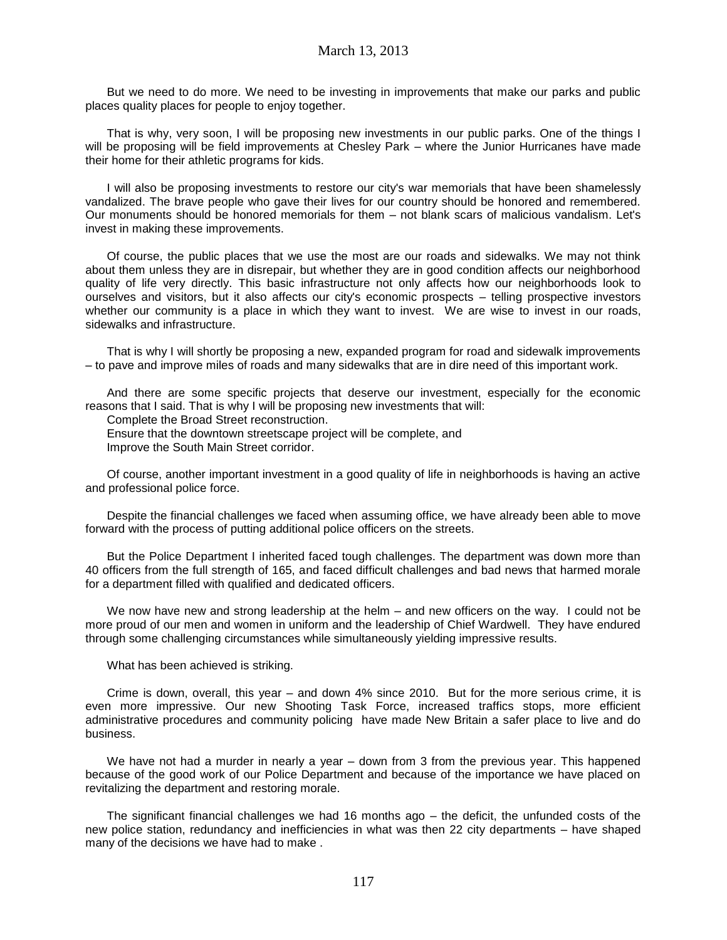But we need to do more. We need to be investing in improvements that make our parks and public places quality places for people to enjoy together.

That is why, very soon, I will be proposing new investments in our public parks. One of the things I will be proposing will be field improvements at Chesley Park – where the Junior Hurricanes have made their home for their athletic programs for kids.

I will also be proposing investments to restore our city's war memorials that have been shamelessly vandalized. The brave people who gave their lives for our country should be honored and remembered. Our monuments should be honored memorials for them – not blank scars of malicious vandalism. Let's invest in making these improvements.

Of course, the public places that we use the most are our roads and sidewalks. We may not think about them unless they are in disrepair, but whether they are in good condition affects our neighborhood quality of life very directly. This basic infrastructure not only affects how our neighborhoods look to ourselves and visitors, but it also affects our city's economic prospects – telling prospective investors whether our community is a place in which they want to invest. We are wise to invest in our roads, sidewalks and infrastructure.

That is why I will shortly be proposing a new, expanded program for road and sidewalk improvements – to pave and improve miles of roads and many sidewalks that are in dire need of this important work.

And there are some specific projects that deserve our investment, especially for the economic reasons that I said. That is why I will be proposing new investments that will:

Complete the Broad Street reconstruction.

Ensure that the downtown streetscape project will be complete, and Improve the South Main Street corridor.

Of course, another important investment in a good quality of life in neighborhoods is having an active and professional police force.

Despite the financial challenges we faced when assuming office, we have already been able to move forward with the process of putting additional police officers on the streets.

But the Police Department I inherited faced tough challenges. The department was down more than 40 officers from the full strength of 165, and faced difficult challenges and bad news that harmed morale for a department filled with qualified and dedicated officers.

We now have new and strong leadership at the helm – and new officers on the way. I could not be more proud of our men and women in uniform and the leadership of Chief Wardwell. They have endured through some challenging circumstances while simultaneously yielding impressive results.

What has been achieved is striking.

Crime is down, overall, this year – and down 4% since 2010. But for the more serious crime, it is even more impressive. Our new Shooting Task Force, increased traffics stops, more efficient administrative procedures and community policing have made New Britain a safer place to live and do business.

We have not had a murder in nearly a year – down from 3 from the previous year. This happened because of the good work of our Police Department and because of the importance we have placed on revitalizing the department and restoring morale.

The significant financial challenges we had 16 months ago – the deficit, the unfunded costs of the new police station, redundancy and inefficiencies in what was then 22 city departments – have shaped many of the decisions we have had to make.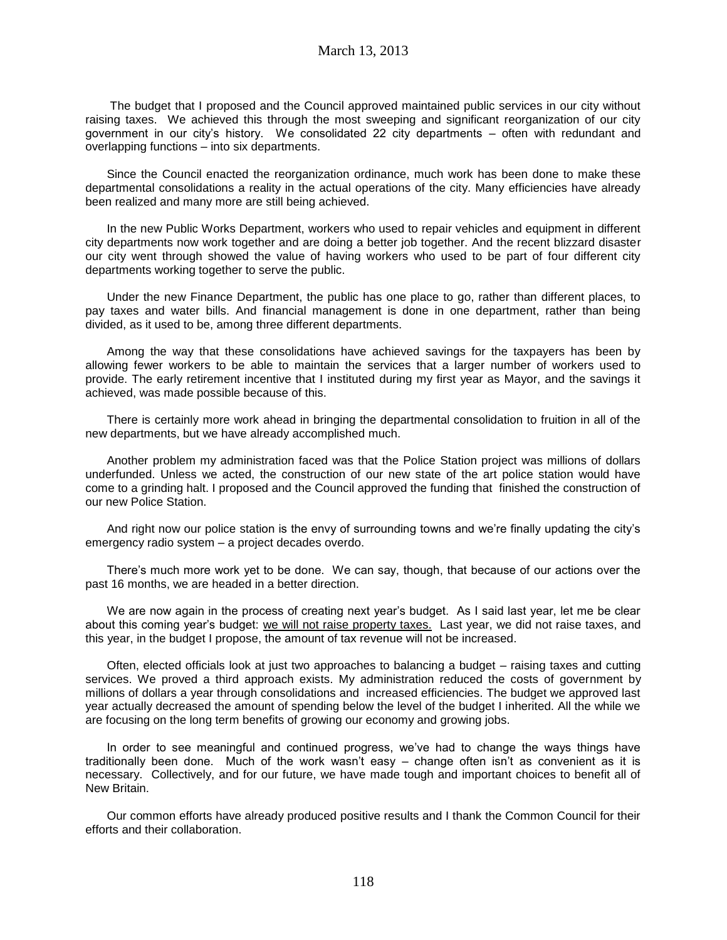The budget that I proposed and the Council approved maintained public services in our city without raising taxes. We achieved this through the most sweeping and significant reorganization of our city government in our city's history. We consolidated 22 city departments – often with redundant and overlapping functions – into six departments.

Since the Council enacted the reorganization ordinance, much work has been done to make these departmental consolidations a reality in the actual operations of the city. Many efficiencies have already been realized and many more are still being achieved.

In the new Public Works Department, workers who used to repair vehicles and equipment in different city departments now work together and are doing a better job together. And the recent blizzard disaster our city went through showed the value of having workers who used to be part of four different city departments working together to serve the public.

Under the new Finance Department, the public has one place to go, rather than different places, to pay taxes and water bills. And financial management is done in one department, rather than being divided, as it used to be, among three different departments.

Among the way that these consolidations have achieved savings for the taxpayers has been by allowing fewer workers to be able to maintain the services that a larger number of workers used to provide. The early retirement incentive that I instituted during my first year as Mayor, and the savings it achieved, was made possible because of this.

There is certainly more work ahead in bringing the departmental consolidation to fruition in all of the new departments, but we have already accomplished much.

Another problem my administration faced was that the Police Station project was millions of dollars underfunded. Unless we acted, the construction of our new state of the art police station would have come to a grinding halt. I proposed and the Council approved the funding that finished the construction of our new Police Station.

And right now our police station is the envy of surrounding towns and we're finally updating the city's emergency radio system – a project decades overdo.

There's much more work yet to be done. We can say, though, that because of our actions over the past 16 months, we are headed in a better direction.

We are now again in the process of creating next year's budget. As I said last year, let me be clear about this coming year's budget: we will not raise property taxes. Last year, we did not raise taxes, and this year, in the budget I propose, the amount of tax revenue will not be increased.

Often, elected officials look at just two approaches to balancing a budget – raising taxes and cutting services. We proved a third approach exists. My administration reduced the costs of government by millions of dollars a year through consolidations and increased efficiencies. The budget we approved last year actually decreased the amount of spending below the level of the budget I inherited. All the while we are focusing on the long term benefits of growing our economy and growing jobs.

In order to see meaningful and continued progress, we've had to change the ways things have traditionally been done. Much of the work wasn't easy – change often isn't as convenient as it is necessary. Collectively, and for our future, we have made tough and important choices to benefit all of New Britain.

Our common efforts have already produced positive results and I thank the Common Council for their efforts and their collaboration.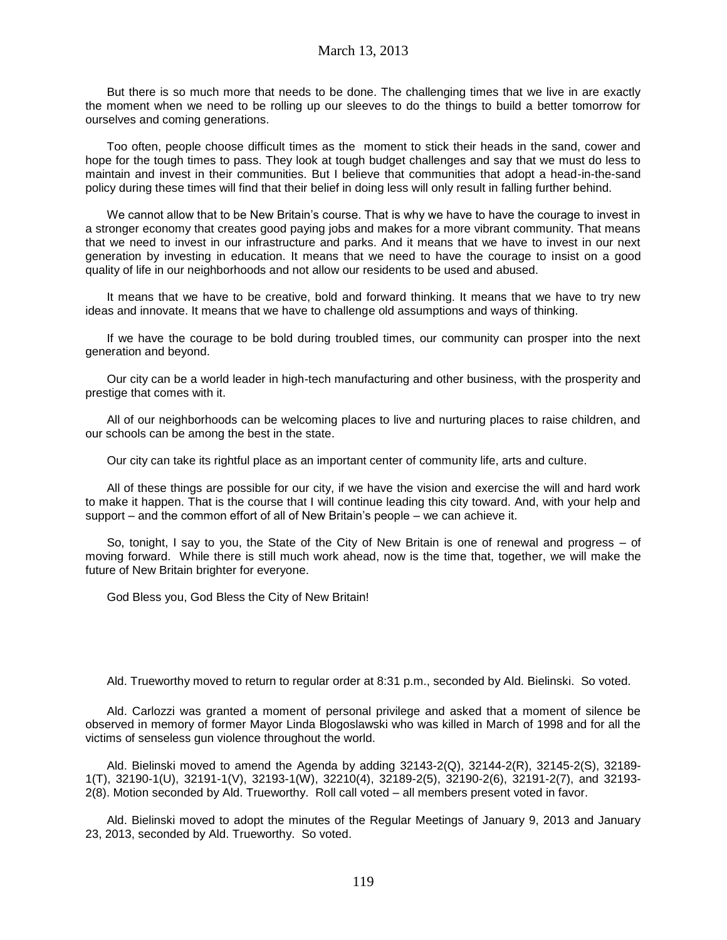But there is so much more that needs to be done. The challenging times that we live in are exactly the moment when we need to be rolling up our sleeves to do the things to build a better tomorrow for ourselves and coming generations.

Too often, people choose difficult times as the moment to stick their heads in the sand, cower and hope for the tough times to pass. They look at tough budget challenges and say that we must do less to maintain and invest in their communities. But I believe that communities that adopt a head-in-the-sand policy during these times will find that their belief in doing less will only result in falling further behind.

We cannot allow that to be New Britain's course. That is why we have to have the courage to invest in a stronger economy that creates good paying jobs and makes for a more vibrant community. That means that we need to invest in our infrastructure and parks. And it means that we have to invest in our next generation by investing in education. It means that we need to have the courage to insist on a good quality of life in our neighborhoods and not allow our residents to be used and abused.

It means that we have to be creative, bold and forward thinking. It means that we have to try new ideas and innovate. It means that we have to challenge old assumptions and ways of thinking.

If we have the courage to be bold during troubled times, our community can prosper into the next generation and beyond.

Our city can be a world leader in high-tech manufacturing and other business, with the prosperity and prestige that comes with it.

All of our neighborhoods can be welcoming places to live and nurturing places to raise children, and our schools can be among the best in the state.

Our city can take its rightful place as an important center of community life, arts and culture.

All of these things are possible for our city, if we have the vision and exercise the will and hard work to make it happen. That is the course that I will continue leading this city toward. And, with your help and support – and the common effort of all of New Britain's people – we can achieve it.

So, tonight, I say to you, the State of the City of New Britain is one of renewal and progress – of moving forward. While there is still much work ahead, now is the time that, together, we will make the future of New Britain brighter for everyone.

God Bless you, God Bless the City of New Britain!

Ald. Trueworthy moved to return to regular order at 8:31 p.m., seconded by Ald. Bielinski. So voted.

Ald. Carlozzi was granted a moment of personal privilege and asked that a moment of silence be observed in memory of former Mayor Linda Blogoslawski who was killed in March of 1998 and for all the victims of senseless gun violence throughout the world.

Ald. Bielinski moved to amend the Agenda by adding 32143-2(Q), 32144-2(R), 32145-2(S), 32189- 1(T), 32190-1(U), 32191-1(V), 32193-1(W), 32210(4), 32189-2(5), 32190-2(6), 32191-2(7), and 32193- 2(8). Motion seconded by Ald. Trueworthy. Roll call voted – all members present voted in favor.

Ald. Bielinski moved to adopt the minutes of the Regular Meetings of January 9, 2013 and January 23, 2013, seconded by Ald. Trueworthy. So voted.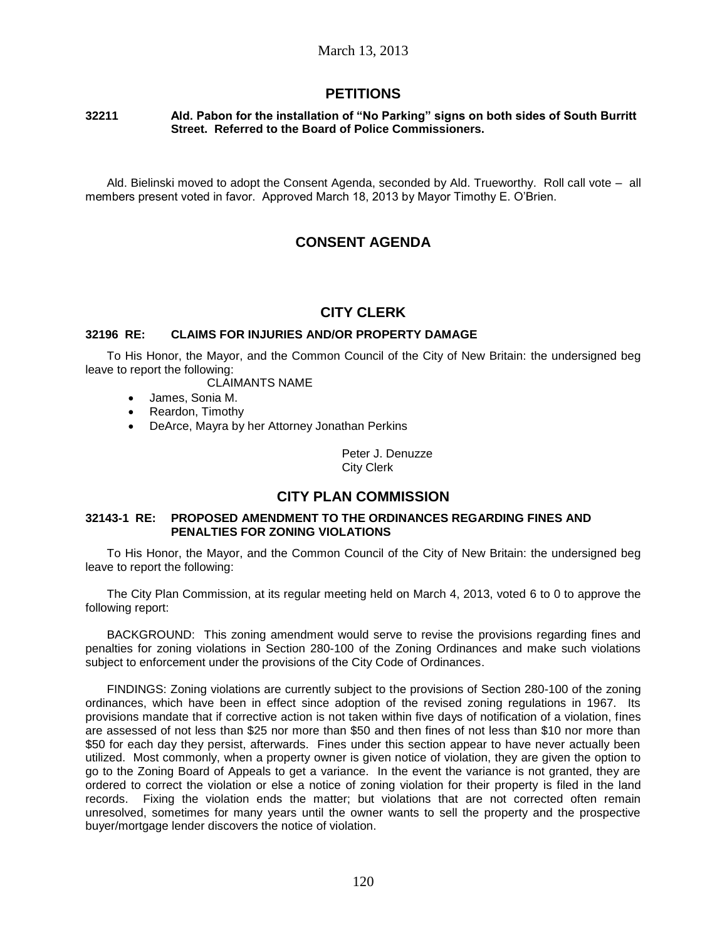## **PETITIONS**

#### **32211 Ald. Pabon for the installation of "No Parking" signs on both sides of South Burritt Street. Referred to the Board of Police Commissioners.**

Ald. Bielinski moved to adopt the Consent Agenda, seconded by Ald. Trueworthy. Roll call vote – all members present voted in favor. Approved March 18, 2013 by Mayor Timothy E. O'Brien.

# **CONSENT AGENDA**

## **CITY CLERK**

### **32196 RE: CLAIMS FOR INJURIES AND/OR PROPERTY DAMAGE**

To His Honor, the Mayor, and the Common Council of the City of New Britain: the undersigned beg leave to report the following:

CLAIMANTS NAME

- James, Sonia M.
- Reardon, Timothy
- DeArce, Mayra by her Attorney Jonathan Perkins

Peter J. Denuzze City Clerk

# **CITY PLAN COMMISSION**

### **32143-1 RE: PROPOSED AMENDMENT TO THE ORDINANCES REGARDING FINES AND PENALTIES FOR ZONING VIOLATIONS**

To His Honor, the Mayor, and the Common Council of the City of New Britain: the undersigned beg leave to report the following:

The City Plan Commission, at its regular meeting held on March 4, 2013, voted 6 to 0 to approve the following report:

BACKGROUND: This zoning amendment would serve to revise the provisions regarding fines and penalties for zoning violations in Section 280-100 of the Zoning Ordinances and make such violations subject to enforcement under the provisions of the City Code of Ordinances.

FINDINGS: Zoning violations are currently subject to the provisions of Section 280-100 of the zoning ordinances, which have been in effect since adoption of the revised zoning regulations in 1967. Its provisions mandate that if corrective action is not taken within five days of notification of a violation, fines are assessed of not less than \$25 nor more than \$50 and then fines of not less than \$10 nor more than \$50 for each day they persist, afterwards. Fines under this section appear to have never actually been utilized. Most commonly, when a property owner is given notice of violation, they are given the option to go to the Zoning Board of Appeals to get a variance. In the event the variance is not granted, they are ordered to correct the violation or else a notice of zoning violation for their property is filed in the land records. Fixing the violation ends the matter; but violations that are not corrected often remain unresolved, sometimes for many years until the owner wants to sell the property and the prospective buyer/mortgage lender discovers the notice of violation.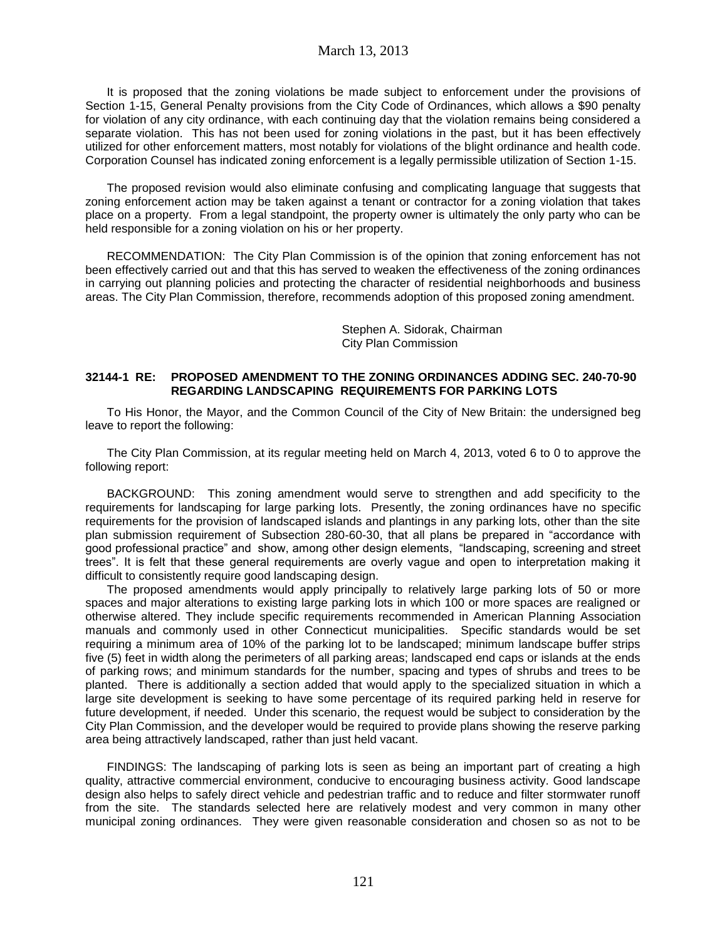It is proposed that the zoning violations be made subject to enforcement under the provisions of Section 1-15, General Penalty provisions from the City Code of Ordinances, which allows a \$90 penalty for violation of any city ordinance, with each continuing day that the violation remains being considered a separate violation. This has not been used for zoning violations in the past, but it has been effectively utilized for other enforcement matters, most notably for violations of the blight ordinance and health code. Corporation Counsel has indicated zoning enforcement is a legally permissible utilization of Section 1-15.

The proposed revision would also eliminate confusing and complicating language that suggests that zoning enforcement action may be taken against a tenant or contractor for a zoning violation that takes place on a property. From a legal standpoint, the property owner is ultimately the only party who can be held responsible for a zoning violation on his or her property.

RECOMMENDATION: The City Plan Commission is of the opinion that zoning enforcement has not been effectively carried out and that this has served to weaken the effectiveness of the zoning ordinances in carrying out planning policies and protecting the character of residential neighborhoods and business areas. The City Plan Commission, therefore, recommends adoption of this proposed zoning amendment.

> Stephen A. Sidorak, Chairman City Plan Commission

#### **32144-1 RE: PROPOSED AMENDMENT TO THE ZONING ORDINANCES ADDING SEC. 240-70-90 REGARDING LANDSCAPING REQUIREMENTS FOR PARKING LOTS**

To His Honor, the Mayor, and the Common Council of the City of New Britain: the undersigned beg leave to report the following:

The City Plan Commission, at its regular meeting held on March 4, 2013, voted 6 to 0 to approve the following report:

BACKGROUND: This zoning amendment would serve to strengthen and add specificity to the requirements for landscaping for large parking lots. Presently, the zoning ordinances have no specific requirements for the provision of landscaped islands and plantings in any parking lots, other than the site plan submission requirement of Subsection 280-60-30, that all plans be prepared in "accordance with good professional practice" and show, among other design elements, "landscaping, screening and street trees". It is felt that these general requirements are overly vague and open to interpretation making it difficult to consistently require good landscaping design.

The proposed amendments would apply principally to relatively large parking lots of 50 or more spaces and major alterations to existing large parking lots in which 100 or more spaces are realigned or otherwise altered. They include specific requirements recommended in American Planning Association manuals and commonly used in other Connecticut municipalities. Specific standards would be set requiring a minimum area of 10% of the parking lot to be landscaped; minimum landscape buffer strips five (5) feet in width along the perimeters of all parking areas; landscaped end caps or islands at the ends of parking rows; and minimum standards for the number, spacing and types of shrubs and trees to be planted. There is additionally a section added that would apply to the specialized situation in which a large site development is seeking to have some percentage of its required parking held in reserve for future development, if needed. Under this scenario, the request would be subject to consideration by the City Plan Commission, and the developer would be required to provide plans showing the reserve parking area being attractively landscaped, rather than just held vacant.

FINDINGS: The landscaping of parking lots is seen as being an important part of creating a high quality, attractive commercial environment, conducive to encouraging business activity. Good landscape design also helps to safely direct vehicle and pedestrian traffic and to reduce and filter stormwater runoff from the site. The standards selected here are relatively modest and very common in many other municipal zoning ordinances. They were given reasonable consideration and chosen so as not to be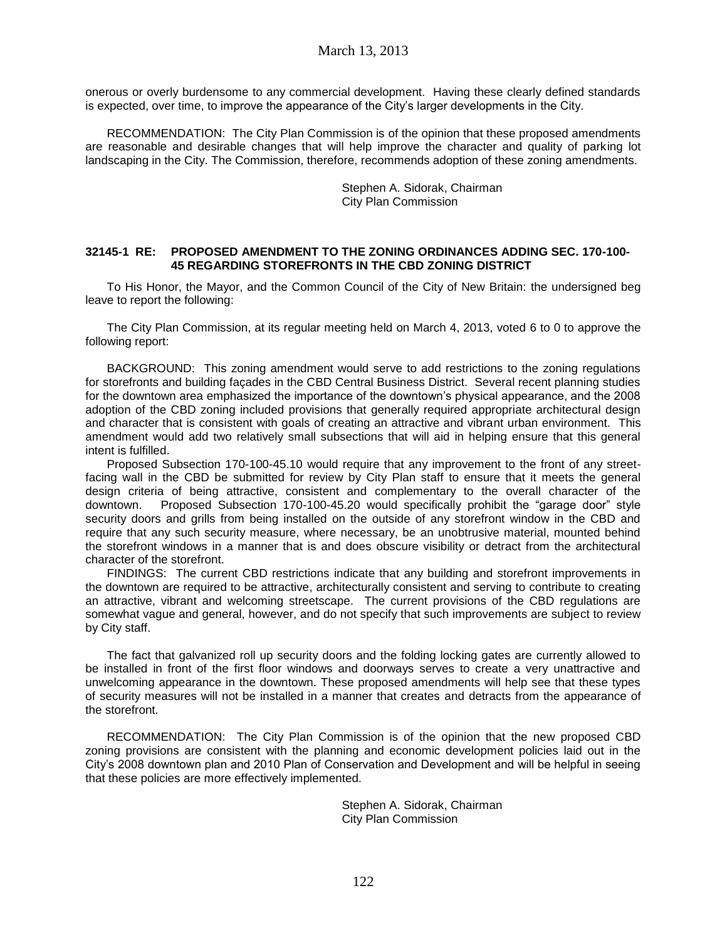onerous or overly burdensome to any commercial development. Having these clearly defined standards is expected, over time, to improve the appearance of the City's larger developments in the City.

RECOMMENDATION: The City Plan Commission is of the opinion that these proposed amendments are reasonable and desirable changes that will help improve the character and quality of parking lot landscaping in the City. The Commission, therefore, recommends adoption of these zoning amendments.

> Stephen A. Sidorak, Chairman City Plan Commission

#### **32145-1 RE: PROPOSED AMENDMENT TO THE ZONING ORDINANCES ADDING SEC. 170-100- 45 REGARDING STOREFRONTS IN THE CBD ZONING DISTRICT**

To His Honor, the Mayor, and the Common Council of the City of New Britain: the undersigned beg leave to report the following:

The City Plan Commission, at its regular meeting held on March 4, 2013, voted 6 to 0 to approve the following report:

BACKGROUND: This zoning amendment would serve to add restrictions to the zoning regulations for storefronts and building façades in the CBD Central Business District. Several recent planning studies for the downtown area emphasized the importance of the downtown's physical appearance, and the 2008 adoption of the CBD zoning included provisions that generally required appropriate architectural design and character that is consistent with goals of creating an attractive and vibrant urban environment. This amendment would add two relatively small subsections that will aid in helping ensure that this general intent is fulfilled.

Proposed Subsection 170-100-45.10 would require that any improvement to the front of any streetfacing wall in the CBD be submitted for review by City Plan staff to ensure that it meets the general design criteria of being attractive, consistent and complementary to the overall character of the downtown. Proposed Subsection 170-100-45.20 would specifically prohibit the "garage door" style security doors and grills from being installed on the outside of any storefront window in the CBD and require that any such security measure, where necessary, be an unobtrusive material, mounted behind the storefront windows in a manner that is and does obscure visibility or detract from the architectural character of the storefront.

FINDINGS: The current CBD restrictions indicate that any building and storefront improvements in the downtown are required to be attractive, architecturally consistent and serving to contribute to creating an attractive, vibrant and welcoming streetscape. The current provisions of the CBD regulations are somewhat vague and general, however, and do not specify that such improvements are subject to review by City staff.

The fact that galvanized roll up security doors and the folding locking gates are currently allowed to be installed in front of the first floor windows and doorways serves to create a very unattractive and unwelcoming appearance in the downtown. These proposed amendments will help see that these types of security measures will not be installed in a manner that creates and detracts from the appearance of the storefront.

RECOMMENDATION: The City Plan Commission is of the opinion that the new proposed CBD zoning provisions are consistent with the planning and economic development policies laid out in the City's 2008 downtown plan and 2010 Plan of Conservation and Development and will be helpful in seeing that these policies are more effectively implemented.

> Stephen A. Sidorak, Chairman City Plan Commission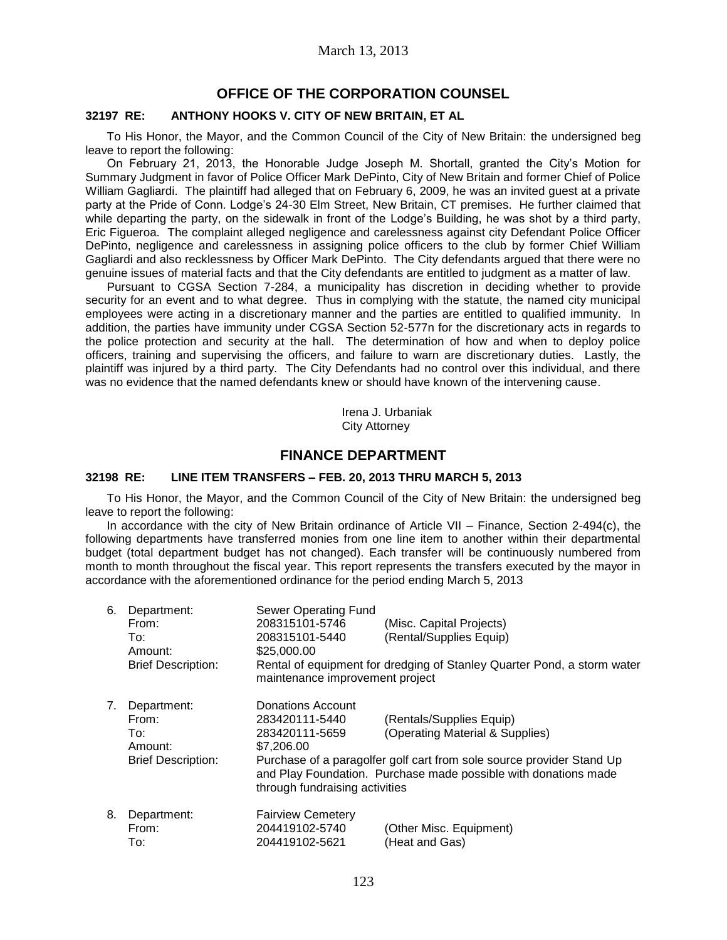## **OFFICE OF THE CORPORATION COUNSEL**

### **32197 RE: ANTHONY HOOKS V. CITY OF NEW BRITAIN, ET AL**

To His Honor, the Mayor, and the Common Council of the City of New Britain: the undersigned beg leave to report the following:

On February 21, 2013, the Honorable Judge Joseph M. Shortall, granted the City's Motion for Summary Judgment in favor of Police Officer Mark DePinto, City of New Britain and former Chief of Police William Gagliardi. The plaintiff had alleged that on February 6, 2009, he was an invited guest at a private party at the Pride of Conn. Lodge's 24-30 Elm Street, New Britain, CT premises. He further claimed that while departing the party, on the sidewalk in front of the Lodge's Building, he was shot by a third party, Eric Figueroa. The complaint alleged negligence and carelessness against city Defendant Police Officer DePinto, negligence and carelessness in assigning police officers to the club by former Chief William Gagliardi and also recklessness by Officer Mark DePinto. The City defendants argued that there were no genuine issues of material facts and that the City defendants are entitled to judgment as a matter of law.

Pursuant to CGSA Section 7-284, a municipality has discretion in deciding whether to provide security for an event and to what degree. Thus in complying with the statute, the named city municipal employees were acting in a discretionary manner and the parties are entitled to qualified immunity. In addition, the parties have immunity under CGSA Section 52-577n for the discretionary acts in regards to the police protection and security at the hall. The determination of how and when to deploy police officers, training and supervising the officers, and failure to warn are discretionary duties. Lastly, the plaintiff was injured by a third party. The City Defendants had no control over this individual, and there was no evidence that the named defendants knew or should have known of the intervening cause.

> Irena J. Urbaniak City Attorney

## **FINANCE DEPARTMENT**

### **32198 RE: LINE ITEM TRANSFERS – FEB. 20, 2013 THRU MARCH 5, 2013**

To His Honor, the Mayor, and the Common Council of the City of New Britain: the undersigned beg leave to report the following:

In accordance with the city of New Britain ordinance of Article VII – Finance, Section 2-494(c), the following departments have transferred monies from one line item to another within their departmental budget (total department budget has not changed). Each transfer will be continuously numbered from month to month throughout the fiscal year. This report represents the transfers executed by the mayor in accordance with the aforementioned ordinance for the period ending March 5, 2013

| 6. | Department:<br>From:<br>To:<br>Amount:<br><b>Brief Description:</b> | Sewer Operating Fund<br>208315101-5746<br>208315101-5440<br>\$25,000.00<br>maintenance improvement project | (Misc. Capital Projects)<br>(Rental/Supplies Equip)<br>Rental of equipment for dredging of Stanley Quarter Pond, a storm water                                                                          |
|----|---------------------------------------------------------------------|------------------------------------------------------------------------------------------------------------|---------------------------------------------------------------------------------------------------------------------------------------------------------------------------------------------------------|
| 7. | Department:<br>From:<br>To:<br>Amount:<br><b>Brief Description:</b> | Donations Account<br>283420111-5440<br>283420111-5659<br>\$7,206,00<br>through fundraising activities      | (Rentals/Supplies Equip)<br>(Operating Material & Supplies)<br>Purchase of a paragolfer golf cart from sole source provider Stand Up<br>and Play Foundation. Purchase made possible with donations made |
| 8. | Department:<br>From:<br>To:                                         | <b>Fairview Cemetery</b><br>204419102-5740<br>204419102-5621                                               | (Other Misc. Equipment)<br>(Heat and Gas)                                                                                                                                                               |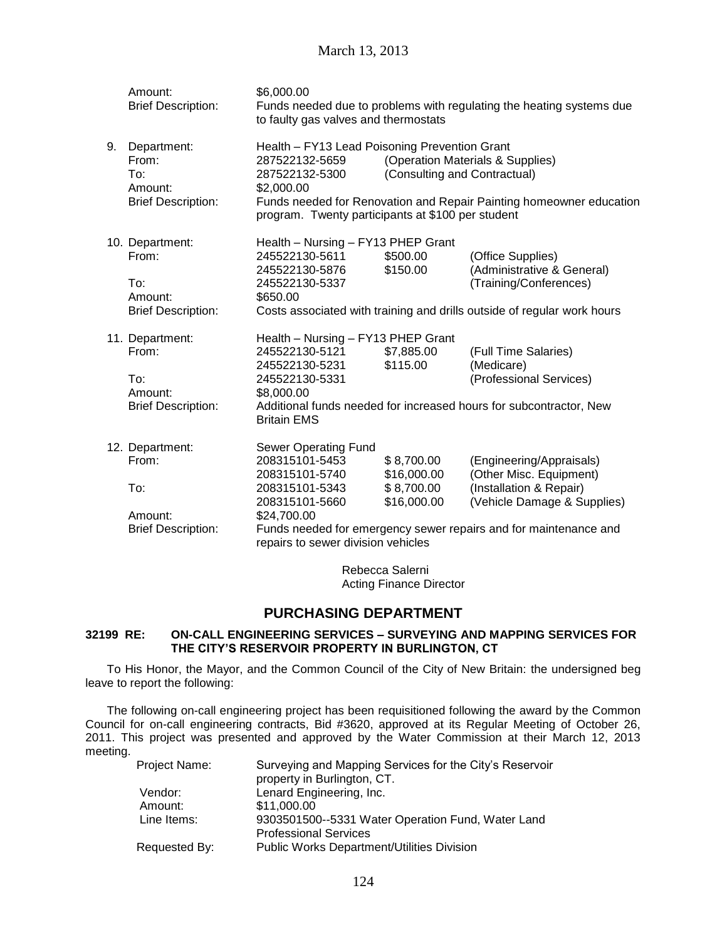|    | Amount:<br><b>Brief Description:</b>                                    | \$6,000.00<br>to faulty gas valves and thermostats                                                                                                   |                                                        | Funds needed due to problems with regulating the heating systems due                                                                                                              |
|----|-------------------------------------------------------------------------|------------------------------------------------------------------------------------------------------------------------------------------------------|--------------------------------------------------------|-----------------------------------------------------------------------------------------------------------------------------------------------------------------------------------|
| 9. | Department:<br>From:<br>To:<br>Amount:<br><b>Brief Description:</b>     | Health - FY13 Lead Poisoning Prevention Grant<br>287522132-5659<br>287522132-5300<br>\$2,000.00<br>program. Twenty participants at \$100 per student | (Consulting and Contractual)                           | (Operation Materials & Supplies)<br>Funds needed for Renovation and Repair Painting homeowner education                                                                           |
|    | 10. Department:<br>From:<br>To:<br>Amount:<br><b>Brief Description:</b> | Health - Nursing - FY13 PHEP Grant<br>245522130-5611<br>245522130-5876<br>245522130-5337<br>\$650.00                                                 | \$500.00<br>\$150.00                                   | (Office Supplies)<br>(Administrative & General)<br>(Training/Conferences)<br>Costs associated with training and drills outside of regular work hours                              |
|    | 11. Department:<br>From:<br>To:<br>Amount:<br><b>Brief Description:</b> | Health - Nursing - FY13 PHEP Grant<br>245522130-5121<br>245522130-5231<br>245522130-5331<br>\$8,000.00<br><b>Britain EMS</b>                         | \$7,885.00<br>\$115.00                                 | (Full Time Salaries)<br>(Medicare)<br>(Professional Services)<br>Additional funds needed for increased hours for subcontractor, New                                               |
|    | 12. Department:<br>From:<br>To:<br>Amount:<br><b>Brief Description:</b> | Sewer Operating Fund<br>208315101-5453<br>208315101-5740<br>208315101-5343<br>208315101-5660<br>\$24,700.00<br>repairs to sewer division vehicles    | \$8,700.00<br>\$16,000.00<br>\$8,700.00<br>\$16,000.00 | (Engineering/Appraisals)<br>(Other Misc. Equipment)<br>(Installation & Repair)<br>(Vehicle Damage & Supplies)<br>Funds needed for emergency sewer repairs and for maintenance and |
|    |                                                                         |                                                                                                                                                      | Debasse Calenai                                        |                                                                                                                                                                                   |

Rebecca Salerni Acting Finance Director

### **PURCHASING DEPARTMENT**

### **32199 RE: ON-CALL ENGINEERING SERVICES – SURVEYING AND MAPPING SERVICES FOR THE CITY'S RESERVOIR PROPERTY IN BURLINGTON, CT**

To His Honor, the Mayor, and the Common Council of the City of New Britain: the undersigned beg leave to report the following:

The following on-call engineering project has been requisitioned following the award by the Common Council for on-call engineering contracts, Bid #3620, approved at its Regular Meeting of October 26, 2011. This project was presented and approved by the Water Commission at their March 12, 2013 meeting.

| Project Name: | Surveying and Mapping Services for the City's Reservoir |
|---------------|---------------------------------------------------------|
|               | property in Burlington, CT.                             |
| Vendor:       | Lenard Engineering, Inc.                                |
| Amount:       | \$11,000.00                                             |
| Line Items:   | 9303501500--5331 Water Operation Fund, Water Land       |
|               | <b>Professional Services</b>                            |
| Requested By: | <b>Public Works Department/Utilities Division</b>       |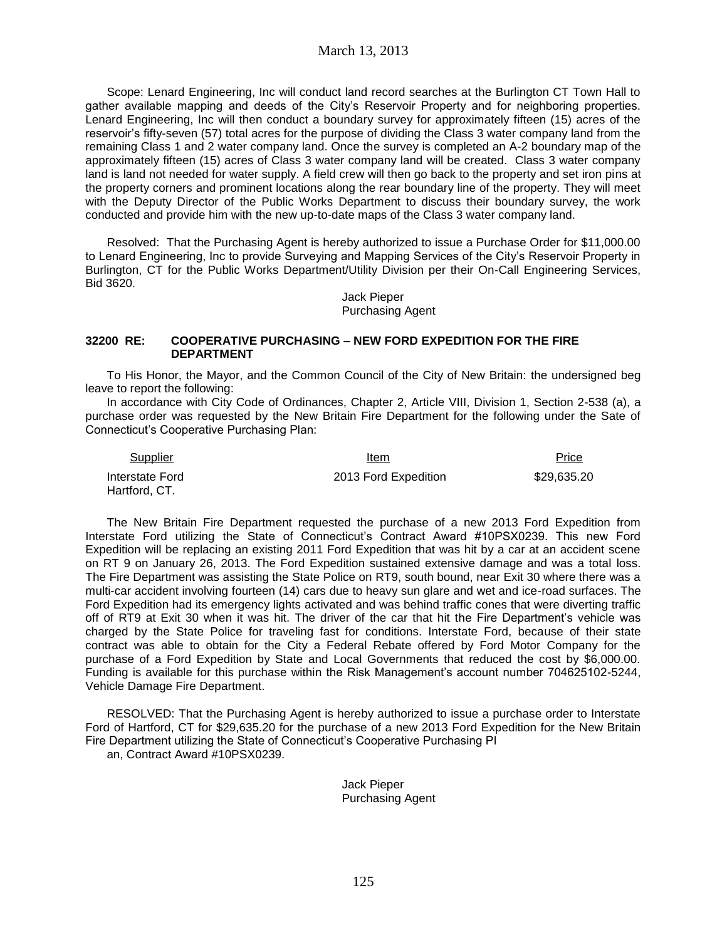Scope: Lenard Engineering, Inc will conduct land record searches at the Burlington CT Town Hall to gather available mapping and deeds of the City's Reservoir Property and for neighboring properties. Lenard Engineering, Inc will then conduct a boundary survey for approximately fifteen (15) acres of the reservoir's fifty-seven (57) total acres for the purpose of dividing the Class 3 water company land from the remaining Class 1 and 2 water company land. Once the survey is completed an A-2 boundary map of the approximately fifteen (15) acres of Class 3 water company land will be created. Class 3 water company land is land not needed for water supply. A field crew will then go back to the property and set iron pins at the property corners and prominent locations along the rear boundary line of the property. They will meet with the Deputy Director of the Public Works Department to discuss their boundary survey, the work conducted and provide him with the new up-to-date maps of the Class 3 water company land.

Resolved: That the Purchasing Agent is hereby authorized to issue a Purchase Order for \$11,000.00 to Lenard Engineering, Inc to provide Surveying and Mapping Services of the City's Reservoir Property in Burlington, CT for the Public Works Department/Utility Division per their On-Call Engineering Services, Bid 3620.

> Jack Pieper Purchasing Agent

### **32200 RE: COOPERATIVE PURCHASING – NEW FORD EXPEDITION FOR THE FIRE DEPARTMENT**

To His Honor, the Mayor, and the Common Council of the City of New Britain: the undersigned beg leave to report the following:

In accordance with City Code of Ordinances, Chapter 2, Article VIII, Division 1, Section 2-538 (a), a purchase order was requested by the New Britain Fire Department for the following under the Sate of Connecticut's Cooperative Purchasing Plan:

| Supplier        | Item                 | Price       |
|-----------------|----------------------|-------------|
| Interstate Ford | 2013 Ford Expedition | \$29.635.20 |
| Hartford, CT.   |                      |             |

The New Britain Fire Department requested the purchase of a new 2013 Ford Expedition from Interstate Ford utilizing the State of Connecticut's Contract Award #10PSX0239. This new Ford Expedition will be replacing an existing 2011 Ford Expedition that was hit by a car at an accident scene on RT 9 on January 26, 2013. The Ford Expedition sustained extensive damage and was a total loss. The Fire Department was assisting the State Police on RT9, south bound, near Exit 30 where there was a multi-car accident involving fourteen (14) cars due to heavy sun glare and wet and ice-road surfaces. The Ford Expedition had its emergency lights activated and was behind traffic cones that were diverting traffic off of RT9 at Exit 30 when it was hit. The driver of the car that hit the Fire Department's vehicle was charged by the State Police for traveling fast for conditions. Interstate Ford, because of their state contract was able to obtain for the City a Federal Rebate offered by Ford Motor Company for the purchase of a Ford Expedition by State and Local Governments that reduced the cost by \$6,000.00. Funding is available for this purchase within the Risk Management's account number 704625102-5244, Vehicle Damage Fire Department.

RESOLVED: That the Purchasing Agent is hereby authorized to issue a purchase order to Interstate Ford of Hartford, CT for \$29,635.20 for the purchase of a new 2013 Ford Expedition for the New Britain Fire Department utilizing the State of Connecticut's Cooperative Purchasing Pl an, Contract Award #10PSX0239.

> Jack Pieper Purchasing Agent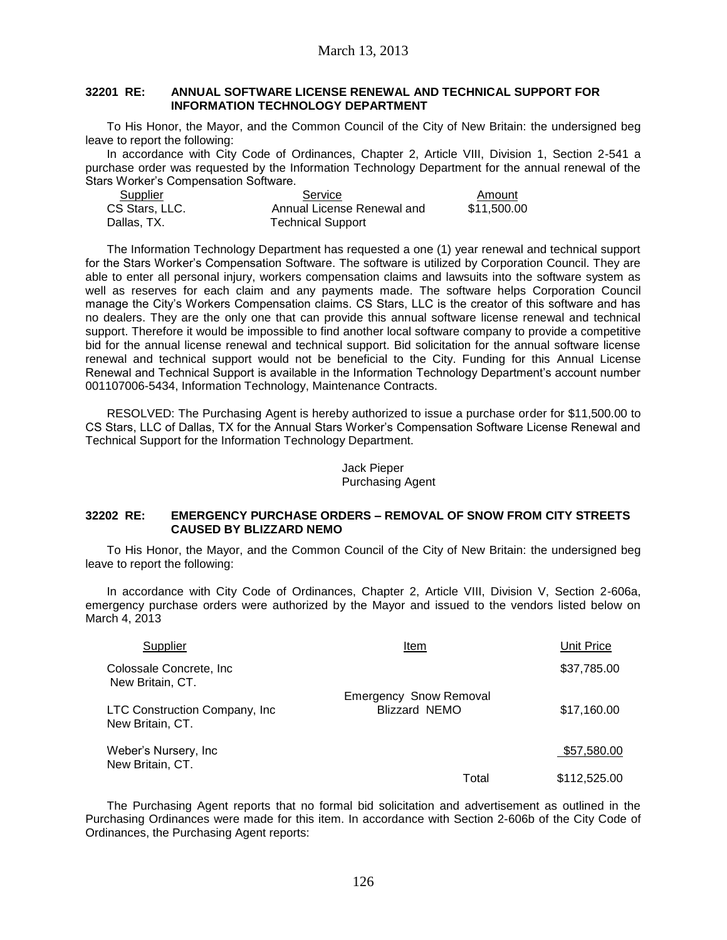#### **32201 RE: ANNUAL SOFTWARE LICENSE RENEWAL AND TECHNICAL SUPPORT FOR INFORMATION TECHNOLOGY DEPARTMENT**

To His Honor, the Mayor, and the Common Council of the City of New Britain: the undersigned beg leave to report the following:

In accordance with City Code of Ordinances, Chapter 2, Article VIII, Division 1, Section 2-541 a purchase order was requested by the Information Technology Department for the annual renewal of the Stars Worker's Compensation Software.

| Supplier       | Service                    | Amount      |
|----------------|----------------------------|-------------|
| CS Stars, LLC. | Annual License Renewal and | \$11,500.00 |
| Dallas, TX.    | <b>Technical Support</b>   |             |

The Information Technology Department has requested a one (1) year renewal and technical support for the Stars Worker's Compensation Software. The software is utilized by Corporation Council. They are able to enter all personal injury, workers compensation claims and lawsuits into the software system as well as reserves for each claim and any payments made. The software helps Corporation Council manage the City's Workers Compensation claims. CS Stars, LLC is the creator of this software and has no dealers. They are the only one that can provide this annual software license renewal and technical support. Therefore it would be impossible to find another local software company to provide a competitive bid for the annual license renewal and technical support. Bid solicitation for the annual software license renewal and technical support would not be beneficial to the City. Funding for this Annual License Renewal and Technical Support is available in the Information Technology Department's account number 001107006-5434, Information Technology, Maintenance Contracts.

RESOLVED: The Purchasing Agent is hereby authorized to issue a purchase order for \$11,500.00 to CS Stars, LLC of Dallas, TX for the Annual Stars Worker's Compensation Software License Renewal and Technical Support for the Information Technology Department.

### Jack Pieper Purchasing Agent

### **32202 RE: EMERGENCY PURCHASE ORDERS – REMOVAL OF SNOW FROM CITY STREETS CAUSED BY BLIZZARD NEMO**

To His Honor, the Mayor, and the Common Council of the City of New Britain: the undersigned beg leave to report the following:

In accordance with City Code of Ordinances, Chapter 2, Article VIII, Division V, Section 2-606a, emergency purchase orders were authorized by the Mayor and issued to the vendors listed below on March 4, 2013

| Supplier                                           | Item                          | Unit Price   |
|----------------------------------------------------|-------------------------------|--------------|
| Colossale Concrete, Inc.<br>New Britain, CT.       |                               | \$37,785.00  |
|                                                    | <b>Emergency Snow Removal</b> |              |
| LTC Construction Company, Inc.<br>New Britain, CT. | <b>Blizzard NEMO</b>          | \$17,160.00  |
| Weber's Nursery, Inc<br>New Britain, CT.           |                               | \$57,580.00  |
|                                                    | Total                         | \$112,525.00 |

The Purchasing Agent reports that no formal bid solicitation and advertisement as outlined in the Purchasing Ordinances were made for this item. In accordance with Section 2-606b of the City Code of Ordinances, the Purchasing Agent reports: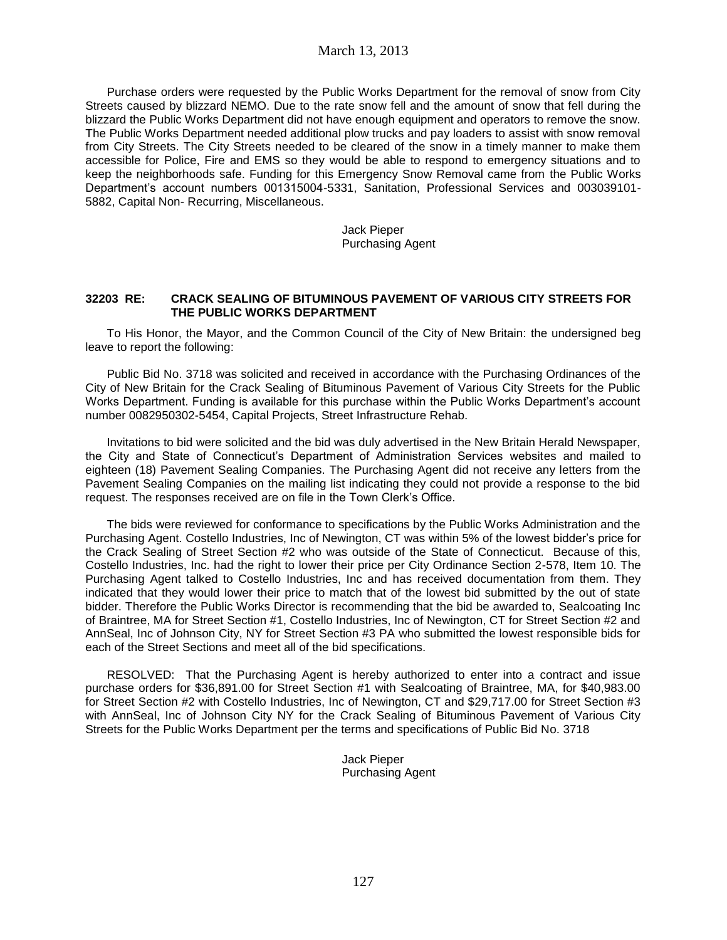Purchase orders were requested by the Public Works Department for the removal of snow from City Streets caused by blizzard NEMO. Due to the rate snow fell and the amount of snow that fell during the blizzard the Public Works Department did not have enough equipment and operators to remove the snow. The Public Works Department needed additional plow trucks and pay loaders to assist with snow removal from City Streets. The City Streets needed to be cleared of the snow in a timely manner to make them accessible for Police, Fire and EMS so they would be able to respond to emergency situations and to keep the neighborhoods safe. Funding for this Emergency Snow Removal came from the Public Works Department's account numbers 001315004-5331, Sanitation, Professional Services and 003039101- 5882, Capital Non- Recurring, Miscellaneous.

> Jack Pieper Purchasing Agent

#### **32203 RE: CRACK SEALING OF BITUMINOUS PAVEMENT OF VARIOUS CITY STREETS FOR THE PUBLIC WORKS DEPARTMENT**

To His Honor, the Mayor, and the Common Council of the City of New Britain: the undersigned beg leave to report the following:

Public Bid No. 3718 was solicited and received in accordance with the Purchasing Ordinances of the City of New Britain for the Crack Sealing of Bituminous Pavement of Various City Streets for the Public Works Department. Funding is available for this purchase within the Public Works Department's account number 0082950302-5454, Capital Projects, Street Infrastructure Rehab.

Invitations to bid were solicited and the bid was duly advertised in the New Britain Herald Newspaper, the City and State of Connecticut's Department of Administration Services websites and mailed to eighteen (18) Pavement Sealing Companies. The Purchasing Agent did not receive any letters from the Pavement Sealing Companies on the mailing list indicating they could not provide a response to the bid request. The responses received are on file in the Town Clerk's Office.

The bids were reviewed for conformance to specifications by the Public Works Administration and the Purchasing Agent. Costello Industries, Inc of Newington, CT was within 5% of the lowest bidder's price for the Crack Sealing of Street Section #2 who was outside of the State of Connecticut. Because of this, Costello Industries, Inc. had the right to lower their price per City Ordinance Section 2-578, Item 10. The Purchasing Agent talked to Costello Industries, Inc and has received documentation from them. They indicated that they would lower their price to match that of the lowest bid submitted by the out of state bidder. Therefore the Public Works Director is recommending that the bid be awarded to, Sealcoating Inc of Braintree, MA for Street Section #1, Costello Industries, Inc of Newington, CT for Street Section #2 and AnnSeal, Inc of Johnson City, NY for Street Section #3 PA who submitted the lowest responsible bids for each of the Street Sections and meet all of the bid specifications.

RESOLVED: That the Purchasing Agent is hereby authorized to enter into a contract and issue purchase orders for \$36,891.00 for Street Section #1 with Sealcoating of Braintree, MA, for \$40,983.00 for Street Section #2 with Costello Industries, Inc of Newington, CT and \$29,717.00 for Street Section #3 with AnnSeal, Inc of Johnson City NY for the Crack Sealing of Bituminous Pavement of Various City Streets for the Public Works Department per the terms and specifications of Public Bid No. 3718

> Jack Pieper Purchasing Agent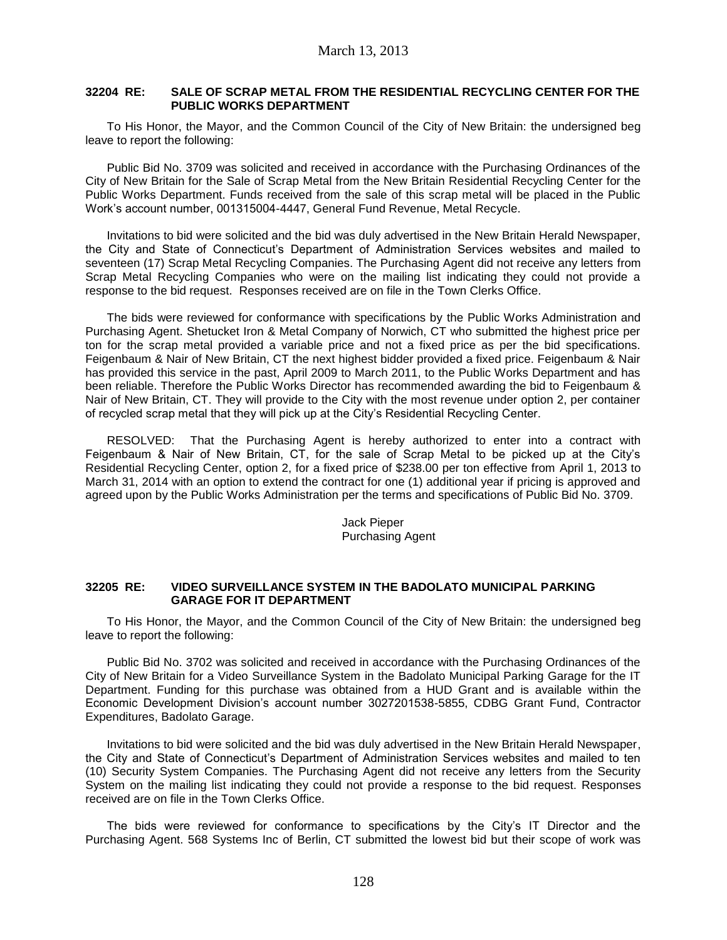### **32204 RE: SALE OF SCRAP METAL FROM THE RESIDENTIAL RECYCLING CENTER FOR THE PUBLIC WORKS DEPARTMENT**

To His Honor, the Mayor, and the Common Council of the City of New Britain: the undersigned beg leave to report the following:

Public Bid No. 3709 was solicited and received in accordance with the Purchasing Ordinances of the City of New Britain for the Sale of Scrap Metal from the New Britain Residential Recycling Center for the Public Works Department. Funds received from the sale of this scrap metal will be placed in the Public Work's account number, 001315004-4447, General Fund Revenue, Metal Recycle.

Invitations to bid were solicited and the bid was duly advertised in the New Britain Herald Newspaper, the City and State of Connecticut's Department of Administration Services websites and mailed to seventeen (17) Scrap Metal Recycling Companies. The Purchasing Agent did not receive any letters from Scrap Metal Recycling Companies who were on the mailing list indicating they could not provide a response to the bid request. Responses received are on file in the Town Clerks Office.

The bids were reviewed for conformance with specifications by the Public Works Administration and Purchasing Agent. Shetucket Iron & Metal Company of Norwich, CT who submitted the highest price per ton for the scrap metal provided a variable price and not a fixed price as per the bid specifications. Feigenbaum & Nair of New Britain, CT the next highest bidder provided a fixed price. Feigenbaum & Nair has provided this service in the past, April 2009 to March 2011, to the Public Works Department and has been reliable. Therefore the Public Works Director has recommended awarding the bid to Feigenbaum & Nair of New Britain, CT. They will provide to the City with the most revenue under option 2, per container of recycled scrap metal that they will pick up at the City's Residential Recycling Center.

RESOLVED: That the Purchasing Agent is hereby authorized to enter into a contract with Feigenbaum & Nair of New Britain, CT, for the sale of Scrap Metal to be picked up at the City's Residential Recycling Center, option 2, for a fixed price of \$238.00 per ton effective from April 1, 2013 to March 31, 2014 with an option to extend the contract for one (1) additional year if pricing is approved and agreed upon by the Public Works Administration per the terms and specifications of Public Bid No. 3709.

> Jack Pieper Purchasing Agent

### **32205 RE: VIDEO SURVEILLANCE SYSTEM IN THE BADOLATO MUNICIPAL PARKING GARAGE FOR IT DEPARTMENT**

To His Honor, the Mayor, and the Common Council of the City of New Britain: the undersigned beg leave to report the following:

Public Bid No. 3702 was solicited and received in accordance with the Purchasing Ordinances of the City of New Britain for a Video Surveillance System in the Badolato Municipal Parking Garage for the IT Department. Funding for this purchase was obtained from a HUD Grant and is available within the Economic Development Division's account number 3027201538-5855, CDBG Grant Fund, Contractor Expenditures, Badolato Garage.

Invitations to bid were solicited and the bid was duly advertised in the New Britain Herald Newspaper, the City and State of Connecticut's Department of Administration Services websites and mailed to ten (10) Security System Companies. The Purchasing Agent did not receive any letters from the Security System on the mailing list indicating they could not provide a response to the bid request. Responses received are on file in the Town Clerks Office.

The bids were reviewed for conformance to specifications by the City's IT Director and the Purchasing Agent. 568 Systems Inc of Berlin, CT submitted the lowest bid but their scope of work was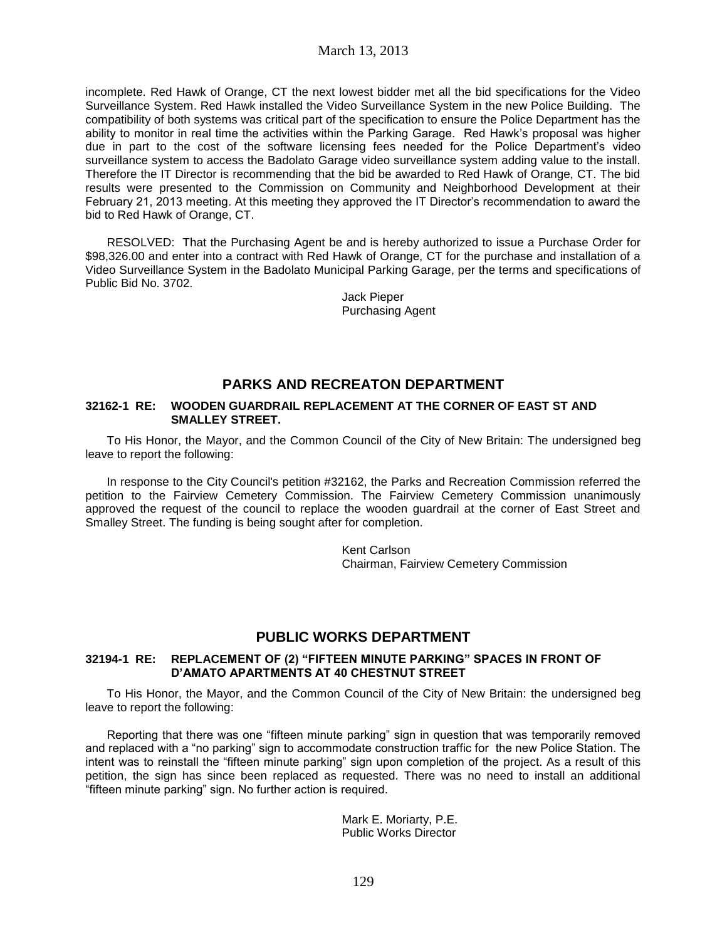incomplete. Red Hawk of Orange, CT the next lowest bidder met all the bid specifications for the Video Surveillance System. Red Hawk installed the Video Surveillance System in the new Police Building. The compatibility of both systems was critical part of the specification to ensure the Police Department has the ability to monitor in real time the activities within the Parking Garage. Red Hawk's proposal was higher due in part to the cost of the software licensing fees needed for the Police Department's video surveillance system to access the Badolato Garage video surveillance system adding value to the install. Therefore the IT Director is recommending that the bid be awarded to Red Hawk of Orange, CT. The bid results were presented to the Commission on Community and Neighborhood Development at their February 21, 2013 meeting. At this meeting they approved the IT Director's recommendation to award the bid to Red Hawk of Orange, CT.

RESOLVED: That the Purchasing Agent be and is hereby authorized to issue a Purchase Order for \$98,326.00 and enter into a contract with Red Hawk of Orange, CT for the purchase and installation of a Video Surveillance System in the Badolato Municipal Parking Garage, per the terms and specifications of Public Bid No. 3702.

> Jack Pieper Purchasing Agent

# **PARKS AND RECREATON DEPARTMENT**

#### **32162-1 RE: WOODEN GUARDRAIL REPLACEMENT AT THE CORNER OF EAST ST AND SMALLEY STREET.**

To His Honor, the Mayor, and the Common Council of the City of New Britain: The undersigned beg leave to report the following:

In response to the City Council's petition #32162, the Parks and Recreation Commission referred the petition to the Fairview Cemetery Commission. The Fairview Cemetery Commission unanimously approved the request of the council to replace the wooden guardrail at the corner of East Street and Smalley Street. The funding is being sought after for completion.

> Kent Carlson Chairman, Fairview Cemetery Commission

## **PUBLIC WORKS DEPARTMENT**

### **32194-1 RE: REPLACEMENT OF (2) "FIFTEEN MINUTE PARKING" SPACES IN FRONT OF D'AMATO APARTMENTS AT 40 CHESTNUT STREET**

To His Honor, the Mayor, and the Common Council of the City of New Britain: the undersigned beg leave to report the following:

Reporting that there was one "fifteen minute parking" sign in question that was temporarily removed and replaced with a "no parking" sign to accommodate construction traffic for the new Police Station. The intent was to reinstall the "fifteen minute parking" sign upon completion of the project. As a result of this petition, the sign has since been replaced as requested. There was no need to install an additional "fifteen minute parking" sign. No further action is required.

> Mark E. Moriarty, P.E. Public Works Director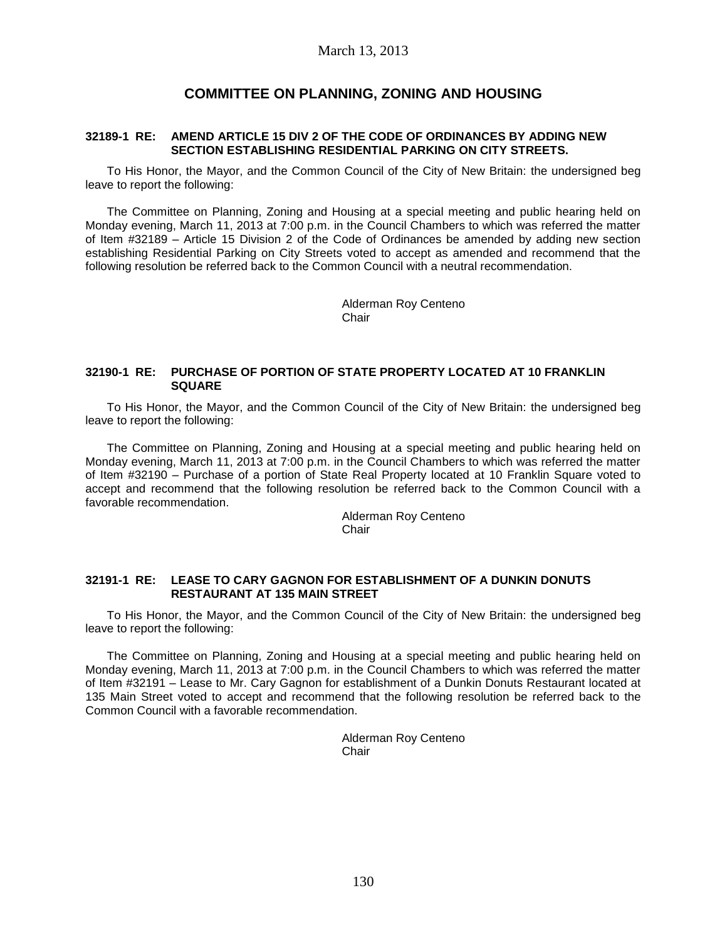## **COMMITTEE ON PLANNING, ZONING AND HOUSING**

#### **32189-1 RE: AMEND ARTICLE 15 DIV 2 OF THE CODE OF ORDINANCES BY ADDING NEW SECTION ESTABLISHING RESIDENTIAL PARKING ON CITY STREETS.**

To His Honor, the Mayor, and the Common Council of the City of New Britain: the undersigned beg leave to report the following:

The Committee on Planning, Zoning and Housing at a special meeting and public hearing held on Monday evening, March 11, 2013 at 7:00 p.m. in the Council Chambers to which was referred the matter of Item #32189 – Article 15 Division 2 of the Code of Ordinances be amended by adding new section establishing Residential Parking on City Streets voted to accept as amended and recommend that the following resolution be referred back to the Common Council with a neutral recommendation.

> Alderman Roy Centeno Chair

#### **32190-1 RE: PURCHASE OF PORTION OF STATE PROPERTY LOCATED AT 10 FRANKLIN SQUARE**

To His Honor, the Mayor, and the Common Council of the City of New Britain: the undersigned beg leave to report the following:

The Committee on Planning, Zoning and Housing at a special meeting and public hearing held on Monday evening, March 11, 2013 at 7:00 p.m. in the Council Chambers to which was referred the matter of Item #32190 – Purchase of a portion of State Real Property located at 10 Franklin Square voted to accept and recommend that the following resolution be referred back to the Common Council with a favorable recommendation.

> Alderman Roy Centeno **Chair**

#### **32191-1 RE: LEASE TO CARY GAGNON FOR ESTABLISHMENT OF A DUNKIN DONUTS RESTAURANT AT 135 MAIN STREET**

To His Honor, the Mayor, and the Common Council of the City of New Britain: the undersigned beg leave to report the following:

The Committee on Planning, Zoning and Housing at a special meeting and public hearing held on Monday evening, March 11, 2013 at 7:00 p.m. in the Council Chambers to which was referred the matter of Item #32191 – Lease to Mr. Cary Gagnon for establishment of a Dunkin Donuts Restaurant located at 135 Main Street voted to accept and recommend that the following resolution be referred back to the Common Council with a favorable recommendation.

> Alderman Roy Centeno **Chair**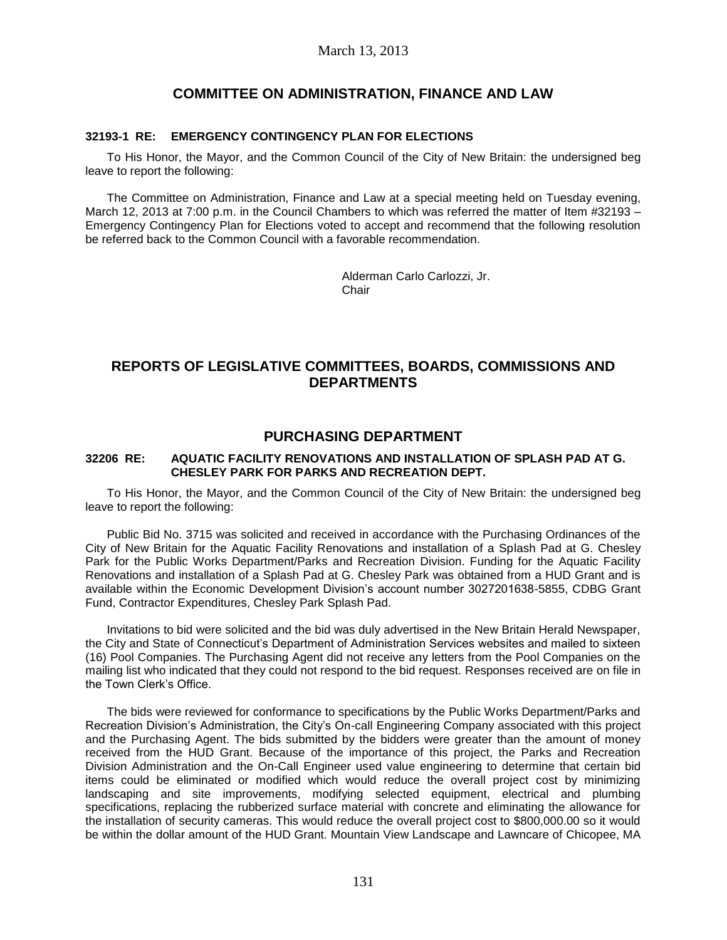## **COMMITTEE ON ADMINISTRATION, FINANCE AND LAW**

### **32193-1 RE: EMERGENCY CONTINGENCY PLAN FOR ELECTIONS**

To His Honor, the Mayor, and the Common Council of the City of New Britain: the undersigned beg leave to report the following:

The Committee on Administration, Finance and Law at a special meeting held on Tuesday evening, March 12, 2013 at 7:00 p.m. in the Council Chambers to which was referred the matter of Item #32193 – Emergency Contingency Plan for Elections voted to accept and recommend that the following resolution be referred back to the Common Council with a favorable recommendation.

> Alderman Carlo Carlozzi, Jr. Chair

# **REPORTS OF LEGISLATIVE COMMITTEES, BOARDS, COMMISSIONS AND DEPARTMENTS**

## **PURCHASING DEPARTMENT**

### **32206 RE: AQUATIC FACILITY RENOVATIONS AND INSTALLATION OF SPLASH PAD AT G. CHESLEY PARK FOR PARKS AND RECREATION DEPT.**

To His Honor, the Mayor, and the Common Council of the City of New Britain: the undersigned beg leave to report the following:

Public Bid No. 3715 was solicited and received in accordance with the Purchasing Ordinances of the City of New Britain for the Aquatic Facility Renovations and installation of a Splash Pad at G. Chesley Park for the Public Works Department/Parks and Recreation Division. Funding for the Aquatic Facility Renovations and installation of a Splash Pad at G. Chesley Park was obtained from a HUD Grant and is available within the Economic Development Division's account number 3027201638-5855, CDBG Grant Fund, Contractor Expenditures, Chesley Park Splash Pad.

Invitations to bid were solicited and the bid was duly advertised in the New Britain Herald Newspaper, the City and State of Connecticut's Department of Administration Services websites and mailed to sixteen (16) Pool Companies. The Purchasing Agent did not receive any letters from the Pool Companies on the mailing list who indicated that they could not respond to the bid request. Responses received are on file in the Town Clerk's Office.

The bids were reviewed for conformance to specifications by the Public Works Department/Parks and Recreation Division's Administration, the City's On-call Engineering Company associated with this project and the Purchasing Agent. The bids submitted by the bidders were greater than the amount of money received from the HUD Grant. Because of the importance of this project, the Parks and Recreation Division Administration and the On-Call Engineer used value engineering to determine that certain bid items could be eliminated or modified which would reduce the overall project cost by minimizing landscaping and site improvements, modifying selected equipment, electrical and plumbing specifications, replacing the rubberized surface material with concrete and eliminating the allowance for the installation of security cameras. This would reduce the overall project cost to \$800,000.00 so it would be within the dollar amount of the HUD Grant. Mountain View Landscape and Lawncare of Chicopee, MA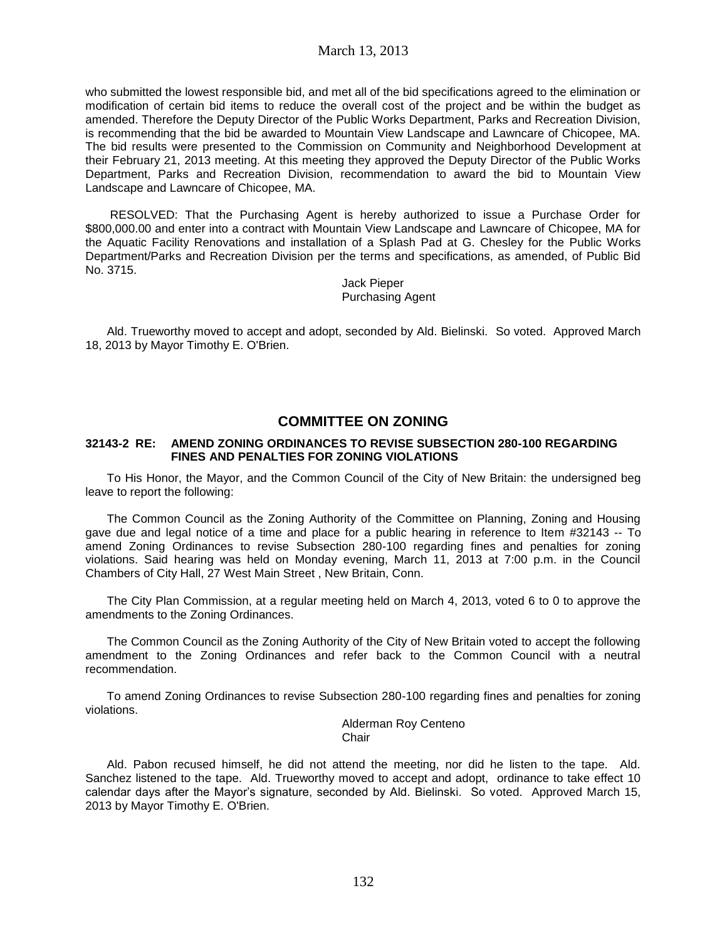who submitted the lowest responsible bid, and met all of the bid specifications agreed to the elimination or modification of certain bid items to reduce the overall cost of the project and be within the budget as amended. Therefore the Deputy Director of the Public Works Department, Parks and Recreation Division, is recommending that the bid be awarded to Mountain View Landscape and Lawncare of Chicopee, MA. The bid results were presented to the Commission on Community and Neighborhood Development at their February 21, 2013 meeting. At this meeting they approved the Deputy Director of the Public Works Department, Parks and Recreation Division, recommendation to award the bid to Mountain View Landscape and Lawncare of Chicopee, MA.

RESOLVED: That the Purchasing Agent is hereby authorized to issue a Purchase Order for \$800,000.00 and enter into a contract with Mountain View Landscape and Lawncare of Chicopee, MA for the Aquatic Facility Renovations and installation of a Splash Pad at G. Chesley for the Public Works Department/Parks and Recreation Division per the terms and specifications, as amended, of Public Bid No. 3715.

> Jack Pieper Purchasing Agent

Ald. Trueworthy moved to accept and adopt, seconded by Ald. Bielinski. So voted. Approved March 18, 2013 by Mayor Timothy E. O'Brien.

# **COMMITTEE ON ZONING**

#### **32143-2 RE: AMEND ZONING ORDINANCES TO REVISE SUBSECTION 280-100 REGARDING FINES AND PENALTIES FOR ZONING VIOLATIONS**

To His Honor, the Mayor, and the Common Council of the City of New Britain: the undersigned beg leave to report the following:

The Common Council as the Zoning Authority of the Committee on Planning, Zoning and Housing gave due and legal notice of a time and place for a public hearing in reference to Item #32143 -- To amend Zoning Ordinances to revise Subsection 280-100 regarding fines and penalties for zoning violations. Said hearing was held on Monday evening, March 11, 2013 at 7:00 p.m. in the Council Chambers of City Hall, 27 West Main Street , New Britain, Conn.

The City Plan Commission, at a regular meeting held on March 4, 2013, voted 6 to 0 to approve the amendments to the Zoning Ordinances.

The Common Council as the Zoning Authority of the City of New Britain voted to accept the following amendment to the Zoning Ordinances and refer back to the Common Council with a neutral recommendation.

To amend Zoning Ordinances to revise Subsection 280-100 regarding fines and penalties for zoning violations.

> Alderman Roy Centeno **Chair**

Ald. Pabon recused himself, he did not attend the meeting, nor did he listen to the tape. Ald. Sanchez listened to the tape. Ald. Trueworthy moved to accept and adopt, ordinance to take effect 10 calendar days after the Mayor's signature, seconded by Ald. Bielinski. So voted. Approved March 15, 2013 by Mayor Timothy E. O'Brien.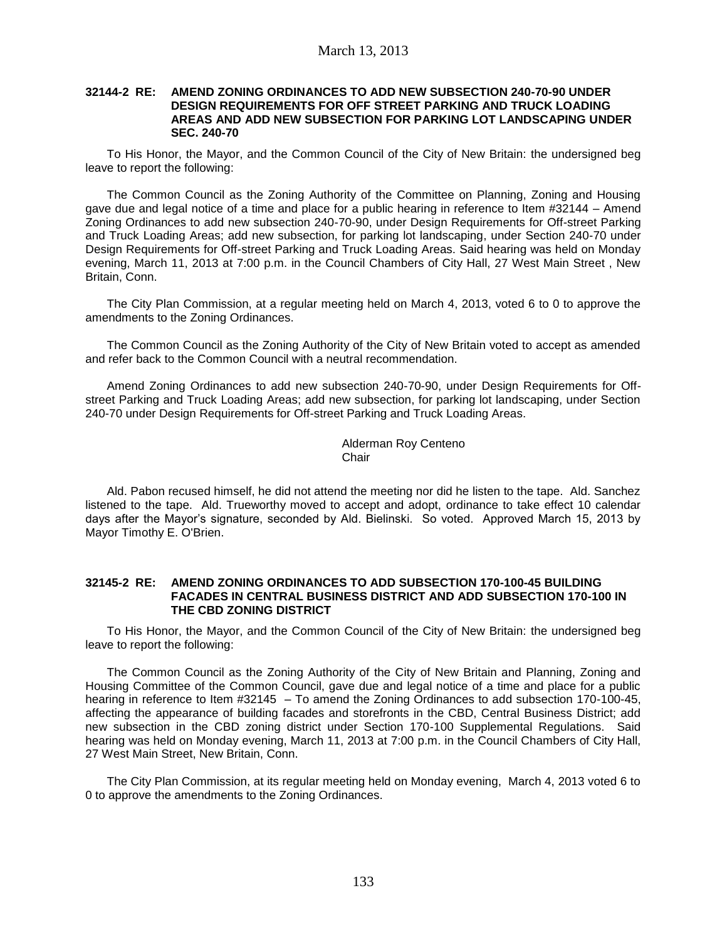#### **32144-2 RE: AMEND ZONING ORDINANCES TO ADD NEW SUBSECTION 240-70-90 UNDER DESIGN REQUIREMENTS FOR OFF STREET PARKING AND TRUCK LOADING AREAS AND ADD NEW SUBSECTION FOR PARKING LOT LANDSCAPING UNDER SEC. 240-70**

To His Honor, the Mayor, and the Common Council of the City of New Britain: the undersigned beg leave to report the following:

The Common Council as the Zoning Authority of the Committee on Planning, Zoning and Housing gave due and legal notice of a time and place for a public hearing in reference to Item #32144 – Amend Zoning Ordinances to add new subsection 240-70-90, under Design Requirements for Off-street Parking and Truck Loading Areas; add new subsection, for parking lot landscaping, under Section 240-70 under Design Requirements for Off-street Parking and Truck Loading Areas. Said hearing was held on Monday evening, March 11, 2013 at 7:00 p.m. in the Council Chambers of City Hall, 27 West Main Street , New Britain, Conn.

The City Plan Commission, at a regular meeting held on March 4, 2013, voted 6 to 0 to approve the amendments to the Zoning Ordinances.

The Common Council as the Zoning Authority of the City of New Britain voted to accept as amended and refer back to the Common Council with a neutral recommendation.

Amend Zoning Ordinances to add new subsection 240-70-90, under Design Requirements for Offstreet Parking and Truck Loading Areas; add new subsection, for parking lot landscaping, under Section 240-70 under Design Requirements for Off-street Parking and Truck Loading Areas.

> Alderman Roy Centeno **Chair**

Ald. Pabon recused himself, he did not attend the meeting nor did he listen to the tape. Ald. Sanchez listened to the tape. Ald. Trueworthy moved to accept and adopt, ordinance to take effect 10 calendar days after the Mayor's signature, seconded by Ald. Bielinski. So voted. Approved March 15, 2013 by Mayor Timothy E. O'Brien.

#### **32145-2 RE: AMEND ZONING ORDINANCES TO ADD SUBSECTION 170-100-45 BUILDING FACADES IN CENTRAL BUSINESS DISTRICT AND ADD SUBSECTION 170-100 IN THE CBD ZONING DISTRICT**

To His Honor, the Mayor, and the Common Council of the City of New Britain: the undersigned beg leave to report the following:

The Common Council as the Zoning Authority of the City of New Britain and Planning, Zoning and Housing Committee of the Common Council, gave due and legal notice of a time and place for a public hearing in reference to Item #32145 – To amend the Zoning Ordinances to add subsection 170-100-45, affecting the appearance of building facades and storefronts in the CBD, Central Business District; add new subsection in the CBD zoning district under Section 170-100 Supplemental Regulations. Said hearing was held on Monday evening, March 11, 2013 at 7:00 p.m. in the Council Chambers of City Hall, 27 West Main Street, New Britain, Conn.

The City Plan Commission, at its regular meeting held on Monday evening, March 4, 2013 voted 6 to 0 to approve the amendments to the Zoning Ordinances.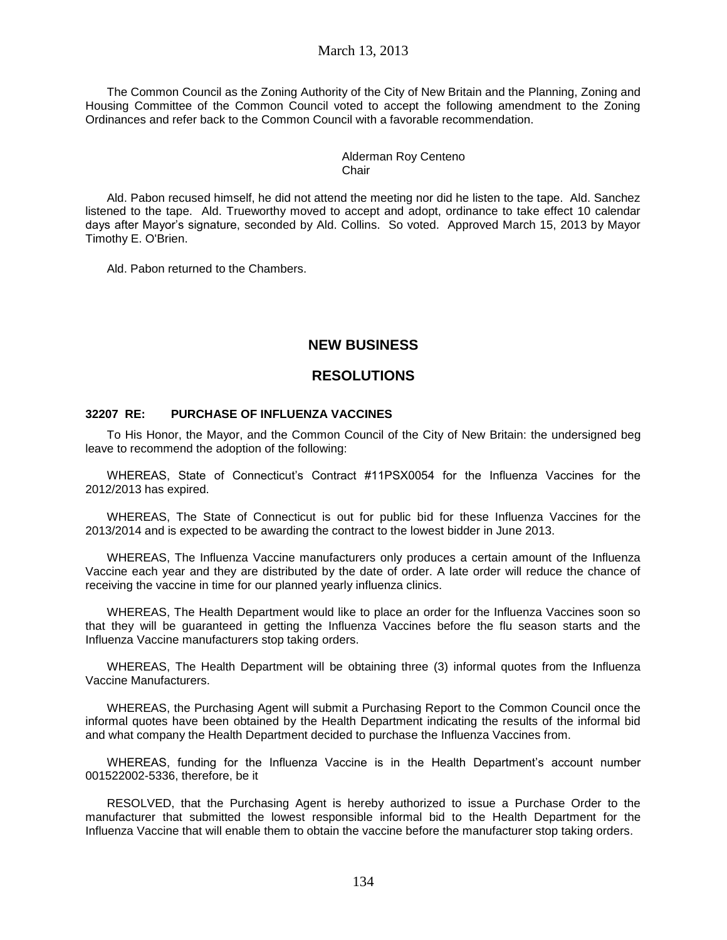### March 13, 2013

The Common Council as the Zoning Authority of the City of New Britain and the Planning, Zoning and Housing Committee of the Common Council voted to accept the following amendment to the Zoning Ordinances and refer back to the Common Council with a favorable recommendation.

#### Alderman Roy Centeno Chair

Ald. Pabon recused himself, he did not attend the meeting nor did he listen to the tape. Ald. Sanchez listened to the tape. Ald. Trueworthy moved to accept and adopt, ordinance to take effect 10 calendar days after Mayor's signature, seconded by Ald. Collins. So voted. Approved March 15, 2013 by Mayor Timothy E. O'Brien.

Ald. Pabon returned to the Chambers.

## **NEW BUSINESS**

## **RESOLUTIONS**

#### **32207 RE: PURCHASE OF INFLUENZA VACCINES**

To His Honor, the Mayor, and the Common Council of the City of New Britain: the undersigned beg leave to recommend the adoption of the following:

WHEREAS, State of Connecticut's Contract #11PSX0054 for the Influenza Vaccines for the 2012/2013 has expired.

WHEREAS, The State of Connecticut is out for public bid for these Influenza Vaccines for the 2013/2014 and is expected to be awarding the contract to the lowest bidder in June 2013.

WHEREAS, The Influenza Vaccine manufacturers only produces a certain amount of the Influenza Vaccine each year and they are distributed by the date of order. A late order will reduce the chance of receiving the vaccine in time for our planned yearly influenza clinics.

WHEREAS, The Health Department would like to place an order for the Influenza Vaccines soon so that they will be guaranteed in getting the Influenza Vaccines before the flu season starts and the Influenza Vaccine manufacturers stop taking orders.

WHEREAS, The Health Department will be obtaining three (3) informal quotes from the Influenza Vaccine Manufacturers.

WHEREAS, the Purchasing Agent will submit a Purchasing Report to the Common Council once the informal quotes have been obtained by the Health Department indicating the results of the informal bid and what company the Health Department decided to purchase the Influenza Vaccines from.

WHEREAS, funding for the Influenza Vaccine is in the Health Department's account number 001522002-5336, therefore, be it

RESOLVED, that the Purchasing Agent is hereby authorized to issue a Purchase Order to the manufacturer that submitted the lowest responsible informal bid to the Health Department for the Influenza Vaccine that will enable them to obtain the vaccine before the manufacturer stop taking orders.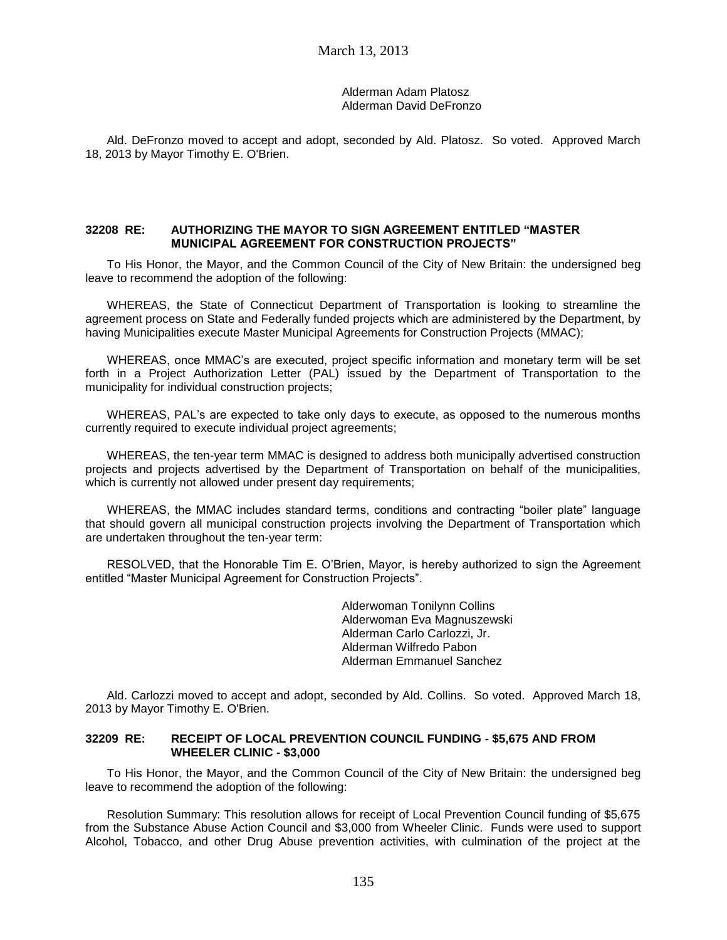### Alderman Adam Platosz Alderman David DeFronzo

Ald. DeFronzo moved to accept and adopt, seconded by Ald. Platosz. So voted. Approved March 18, 2013 by Mayor Timothy E. O'Brien.

### **32208 RE: AUTHORIZING THE MAYOR TO SIGN AGREEMENT ENTITLED "MASTER MUNICIPAL AGREEMENT FOR CONSTRUCTION PROJECTS"**

To His Honor, the Mayor, and the Common Council of the City of New Britain: the undersigned beg leave to recommend the adoption of the following:

WHEREAS, the State of Connecticut Department of Transportation is looking to streamline the agreement process on State and Federally funded projects which are administered by the Department, by having Municipalities execute Master Municipal Agreements for Construction Projects (MMAC);

WHEREAS, once MMAC's are executed, project specific information and monetary term will be set forth in a Project Authorization Letter (PAL) issued by the Department of Transportation to the municipality for individual construction projects;

WHEREAS, PAL's are expected to take only days to execute, as opposed to the numerous months currently required to execute individual project agreements;

WHEREAS, the ten-year term MMAC is designed to address both municipally advertised construction projects and projects advertised by the Department of Transportation on behalf of the municipalities, which is currently not allowed under present day requirements;

WHEREAS, the MMAC includes standard terms, conditions and contracting "boiler plate" language that should govern all municipal construction projects involving the Department of Transportation which are undertaken throughout the ten-year term:

RESOLVED, that the Honorable Tim E. O'Brien, Mayor, is hereby authorized to sign the Agreement entitled "Master Municipal Agreement for Construction Projects".

> Alderwoman Tonilynn Collins Alderwoman Eva Magnuszewski Alderman Carlo Carlozzi, Jr. Alderman Wilfredo Pabon Alderman Emmanuel Sanchez

Ald. Carlozzi moved to accept and adopt, seconded by Ald. Collins. So voted. Approved March 18, 2013 by Mayor Timothy E. O'Brien.

#### **32209 RE: RECEIPT OF LOCAL PREVENTION COUNCIL FUNDING - \$5,675 AND FROM WHEELER CLINIC - \$3,000**

To His Honor, the Mayor, and the Common Council of the City of New Britain: the undersigned beg leave to recommend the adoption of the following:

Resolution Summary: This resolution allows for receipt of Local Prevention Council funding of \$5,675 from the Substance Abuse Action Council and \$3,000 from Wheeler Clinic. Funds were used to support Alcohol, Tobacco, and other Drug Abuse prevention activities, with culmination of the project at the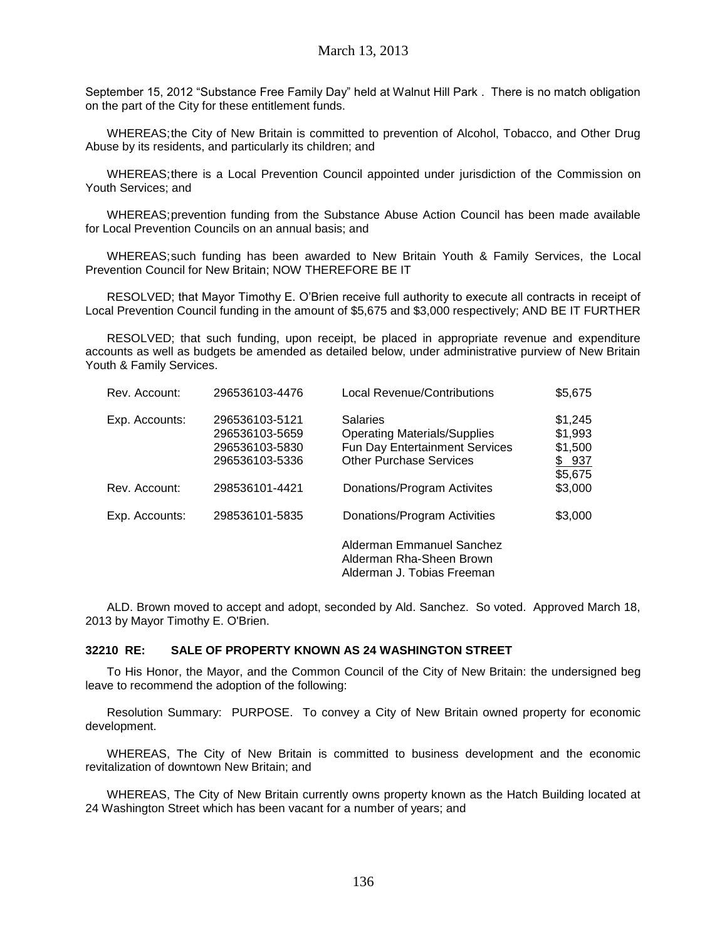September 15, 2012 "Substance Free Family Day" held at Walnut Hill Park . There is no match obligation on the part of the City for these entitlement funds.

WHEREAS;the City of New Britain is committed to prevention of Alcohol, Tobacco, and Other Drug Abuse by its residents, and particularly its children; and

WHEREAS;there is a Local Prevention Council appointed under jurisdiction of the Commission on Youth Services; and

WHEREAS;prevention funding from the Substance Abuse Action Council has been made available for Local Prevention Councils on an annual basis; and

WHEREAS;such funding has been awarded to New Britain Youth & Family Services, the Local Prevention Council for New Britain; NOW THEREFORE BE IT

RESOLVED; that Mayor Timothy E. O'Brien receive full authority to execute all contracts in receipt of Local Prevention Council funding in the amount of \$5,675 and \$3,000 respectively; AND BE IT FURTHER

RESOLVED; that such funding, upon receipt, be placed in appropriate revenue and expenditure accounts as well as budgets be amended as detailed below, under administrative purview of New Britain Youth & Family Services.

| Rev. Account:  | 296536103-4476                                                       | <b>Local Revenue/Contributions</b>                                                                                         | \$5,675                                           |
|----------------|----------------------------------------------------------------------|----------------------------------------------------------------------------------------------------------------------------|---------------------------------------------------|
| Exp. Accounts: | 296536103-5121<br>296536103-5659<br>296536103-5830<br>296536103-5336 | <b>Salaries</b><br><b>Operating Materials/Supplies</b><br>Fun Day Entertainment Services<br><b>Other Purchase Services</b> | \$1,245<br>\$1,993<br>\$1,500<br>\$937<br>\$5,675 |
| Rev. Account:  | 298536101-4421                                                       | Donations/Program Activites                                                                                                | \$3,000                                           |
| Exp. Accounts: | 298536101-5835                                                       | Donations/Program Activities                                                                                               | \$3,000                                           |
|                |                                                                      | Alderman Emmanuel Sanchez<br>Alderman Rha-Sheen Brown<br>Alderman J. Tobias Freeman                                        |                                                   |

ALD. Brown moved to accept and adopt, seconded by Ald. Sanchez. So voted. Approved March 18, 2013 by Mayor Timothy E. O'Brien.

#### **32210 RE: SALE OF PROPERTY KNOWN AS 24 WASHINGTON STREET**

To His Honor, the Mayor, and the Common Council of the City of New Britain: the undersigned beg leave to recommend the adoption of the following:

Resolution Summary: PURPOSE. To convey a City of New Britain owned property for economic development.

WHEREAS, The City of New Britain is committed to business development and the economic revitalization of downtown New Britain; and

WHEREAS, The City of New Britain currently owns property known as the Hatch Building located at 24 Washington Street which has been vacant for a number of years; and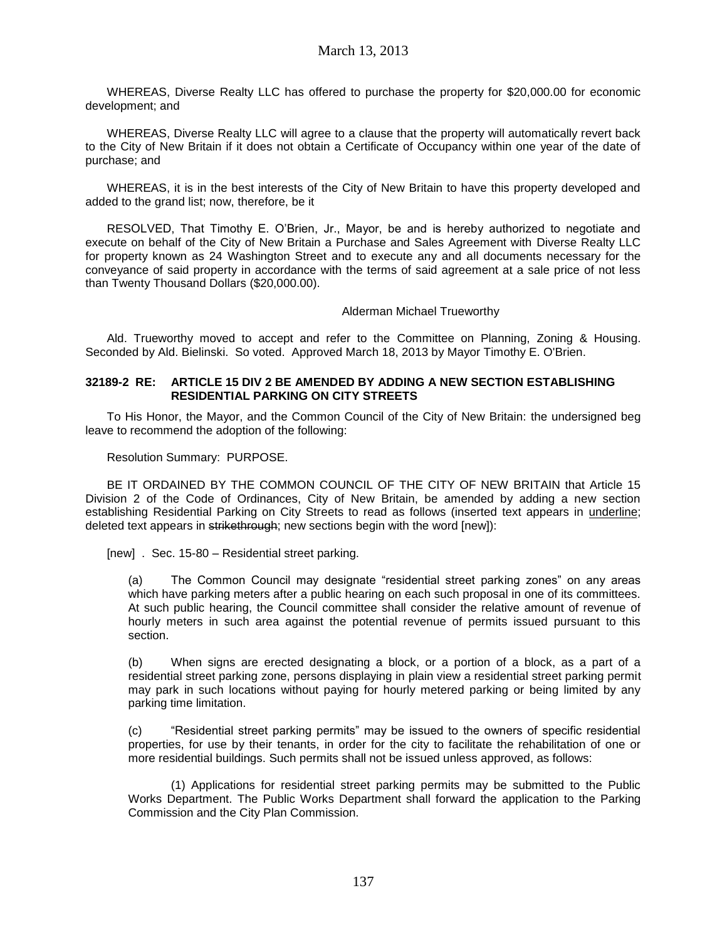WHEREAS, Diverse Realty LLC has offered to purchase the property for \$20,000.00 for economic development; and

WHEREAS, Diverse Realty LLC will agree to a clause that the property will automatically revert back to the City of New Britain if it does not obtain a Certificate of Occupancy within one year of the date of purchase; and

WHEREAS, it is in the best interests of the City of New Britain to have this property developed and added to the grand list; now, therefore, be it

RESOLVED, That Timothy E. O'Brien, Jr., Mayor, be and is hereby authorized to negotiate and execute on behalf of the City of New Britain a Purchase and Sales Agreement with Diverse Realty LLC for property known as 24 Washington Street and to execute any and all documents necessary for the conveyance of said property in accordance with the terms of said agreement at a sale price of not less than Twenty Thousand Dollars (\$20,000.00).

#### Alderman Michael Trueworthy

Ald. Trueworthy moved to accept and refer to the Committee on Planning, Zoning & Housing. Seconded by Ald. Bielinski. So voted. Approved March 18, 2013 by Mayor Timothy E. O'Brien.

#### **32189-2 RE: ARTICLE 15 DIV 2 BE AMENDED BY ADDING A NEW SECTION ESTABLISHING RESIDENTIAL PARKING ON CITY STREETS**

To His Honor, the Mayor, and the Common Council of the City of New Britain: the undersigned beg leave to recommend the adoption of the following:

Resolution Summary: PURPOSE.

BE IT ORDAINED BY THE COMMON COUNCIL OF THE CITY OF NEW BRITAIN that Article 15 Division 2 of the Code of Ordinances, City of New Britain, be amended by adding a new section establishing Residential Parking on City Streets to read as follows (inserted text appears in underline; deleted text appears in strikethrough; new sections begin with the word [new]):

[new] . Sec. 15-80 – Residential street parking.

(a) The Common Council may designate "residential street parking zones" on any areas which have parking meters after a public hearing on each such proposal in one of its committees. At such public hearing, the Council committee shall consider the relative amount of revenue of hourly meters in such area against the potential revenue of permits issued pursuant to this section.

(b) When signs are erected designating a block, or a portion of a block, as a part of a residential street parking zone, persons displaying in plain view a residential street parking permit may park in such locations without paying for hourly metered parking or being limited by any parking time limitation.

(c) "Residential street parking permits" may be issued to the owners of specific residential properties, for use by their tenants, in order for the city to facilitate the rehabilitation of one or more residential buildings. Such permits shall not be issued unless approved, as follows:

(1) Applications for residential street parking permits may be submitted to the Public Works Department. The Public Works Department shall forward the application to the Parking Commission and the City Plan Commission.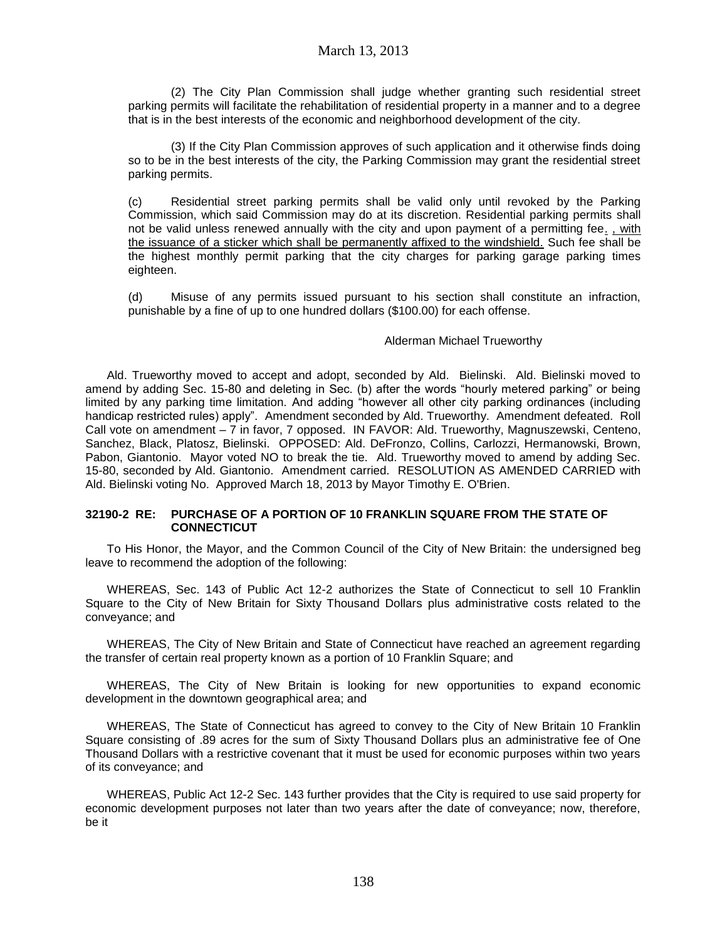(2) The City Plan Commission shall judge whether granting such residential street parking permits will facilitate the rehabilitation of residential property in a manner and to a degree that is in the best interests of the economic and neighborhood development of the city.

(3) If the City Plan Commission approves of such application and it otherwise finds doing so to be in the best interests of the city, the Parking Commission may grant the residential street parking permits.

(c) Residential street parking permits shall be valid only until revoked by the Parking Commission, which said Commission may do at its discretion. Residential parking permits shall not be valid unless renewed annually with the city and upon payment of a permitting fee. , with the issuance of a sticker which shall be permanently affixed to the windshield. Such fee shall be the highest monthly permit parking that the city charges for parking garage parking times eighteen.

(d) Misuse of any permits issued pursuant to his section shall constitute an infraction, punishable by a fine of up to one hundred dollars (\$100.00) for each offense.

### Alderman Michael Trueworthy

Ald. Trueworthy moved to accept and adopt, seconded by Ald. Bielinski. Ald. Bielinski moved to amend by adding Sec. 15-80 and deleting in Sec. (b) after the words "hourly metered parking" or being limited by any parking time limitation. And adding "however all other city parking ordinances (including handicap restricted rules) apply". Amendment seconded by Ald. Trueworthy. Amendment defeated. Roll Call vote on amendment – 7 in favor, 7 opposed. IN FAVOR: Ald. Trueworthy, Magnuszewski, Centeno, Sanchez, Black, Platosz, Bielinski. OPPOSED: Ald. DeFronzo, Collins, Carlozzi, Hermanowski, Brown, Pabon, Giantonio. Mayor voted NO to break the tie. Ald. Trueworthy moved to amend by adding Sec. 15-80, seconded by Ald. Giantonio. Amendment carried. RESOLUTION AS AMENDED CARRIED with Ald. Bielinski voting No. Approved March 18, 2013 by Mayor Timothy E. O'Brien.

#### **32190-2 RE: PURCHASE OF A PORTION OF 10 FRANKLIN SQUARE FROM THE STATE OF CONNECTICUT**

To His Honor, the Mayor, and the Common Council of the City of New Britain: the undersigned beg leave to recommend the adoption of the following:

WHEREAS, Sec. 143 of Public Act 12-2 authorizes the State of Connecticut to sell 10 Franklin Square to the City of New Britain for Sixty Thousand Dollars plus administrative costs related to the conveyance; and

WHEREAS, The City of New Britain and State of Connecticut have reached an agreement regarding the transfer of certain real property known as a portion of 10 Franklin Square; and

WHEREAS, The City of New Britain is looking for new opportunities to expand economic development in the downtown geographical area; and

WHEREAS, The State of Connecticut has agreed to convey to the City of New Britain 10 Franklin Square consisting of .89 acres for the sum of Sixty Thousand Dollars plus an administrative fee of One Thousand Dollars with a restrictive covenant that it must be used for economic purposes within two years of its conveyance; and

WHEREAS, Public Act 12-2 Sec. 143 further provides that the City is required to use said property for economic development purposes not later than two years after the date of conveyance; now, therefore, be it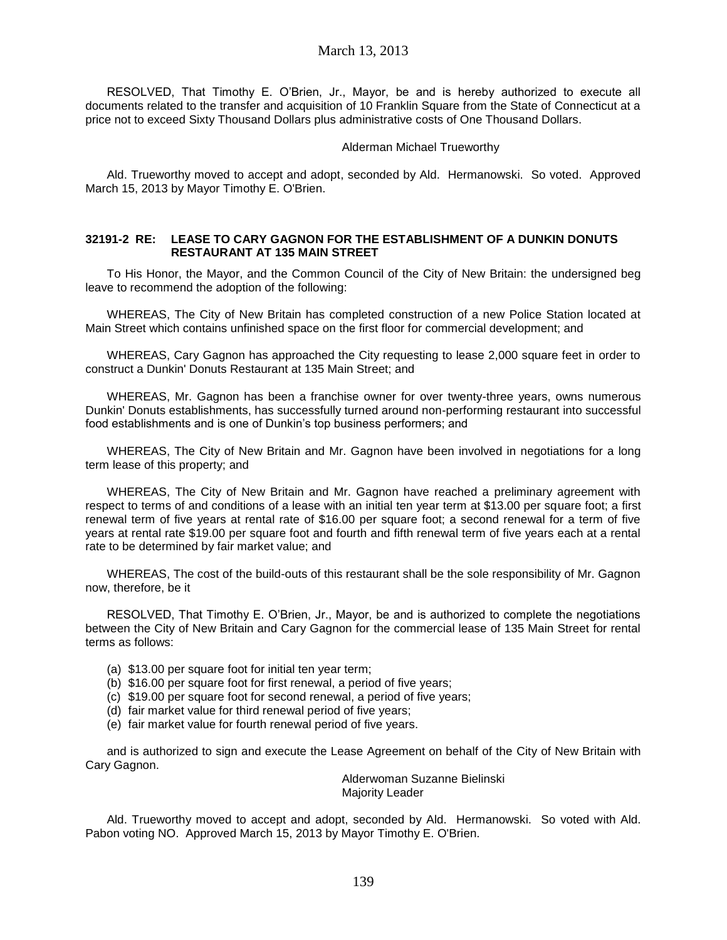RESOLVED, That Timothy E. O'Brien, Jr., Mayor, be and is hereby authorized to execute all documents related to the transfer and acquisition of 10 Franklin Square from the State of Connecticut at a price not to exceed Sixty Thousand Dollars plus administrative costs of One Thousand Dollars.

#### Alderman Michael Trueworthy

Ald. Trueworthy moved to accept and adopt, seconded by Ald. Hermanowski. So voted. Approved March 15, 2013 by Mayor Timothy E. O'Brien.

### **32191-2 RE: LEASE TO CARY GAGNON FOR THE ESTABLISHMENT OF A DUNKIN DONUTS RESTAURANT AT 135 MAIN STREET**

To His Honor, the Mayor, and the Common Council of the City of New Britain: the undersigned beg leave to recommend the adoption of the following:

WHEREAS, The City of New Britain has completed construction of a new Police Station located at Main Street which contains unfinished space on the first floor for commercial development; and

WHEREAS, Cary Gagnon has approached the City requesting to lease 2,000 square feet in order to construct a Dunkin' Donuts Restaurant at 135 Main Street; and

WHEREAS, Mr. Gagnon has been a franchise owner for over twenty-three years, owns numerous Dunkin' Donuts establishments, has successfully turned around non-performing restaurant into successful food establishments and is one of Dunkin's top business performers; and

WHEREAS, The City of New Britain and Mr. Gagnon have been involved in negotiations for a long term lease of this property; and

WHEREAS, The City of New Britain and Mr. Gagnon have reached a preliminary agreement with respect to terms of and conditions of a lease with an initial ten year term at \$13.00 per square foot; a first renewal term of five years at rental rate of \$16.00 per square foot; a second renewal for a term of five years at rental rate \$19.00 per square foot and fourth and fifth renewal term of five years each at a rental rate to be determined by fair market value; and

WHEREAS, The cost of the build-outs of this restaurant shall be the sole responsibility of Mr. Gagnon now, therefore, be it

RESOLVED, That Timothy E. O'Brien, Jr., Mayor, be and is authorized to complete the negotiations between the City of New Britain and Cary Gagnon for the commercial lease of 135 Main Street for rental terms as follows:

- (a) \$13.00 per square foot for initial ten year term;
- (b) \$16.00 per square foot for first renewal, a period of five years;
- (c) \$19.00 per square foot for second renewal, a period of five years;
- (d) fair market value for third renewal period of five years;
- (e) fair market value for fourth renewal period of five years.

and is authorized to sign and execute the Lease Agreement on behalf of the City of New Britain with Cary Gagnon.

Alderwoman Suzanne Bielinski Majority Leader

Ald. Trueworthy moved to accept and adopt, seconded by Ald. Hermanowski. So voted with Ald. Pabon voting NO. Approved March 15, 2013 by Mayor Timothy E. O'Brien.